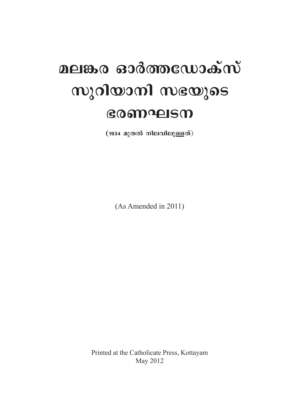# മലങ്കര ഓർത്തഡോക്സ് സുറിയാനി സഭയുടെ ഭരണഘടന

(1934 മുതൽ നിലവിലുള്ളത്)

(As Amended in 2011)

Printed at the Catholicate Press, Kottayam May 2012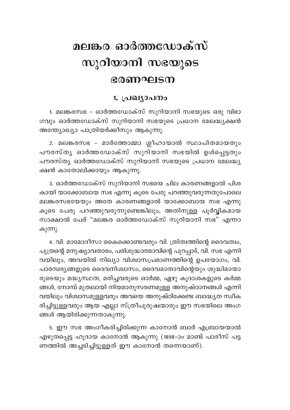## മലങ്കര ഓർത്തഡോക്സ് സുറിയാനി സഭയുടെ ഭരണഘടന

## 1. പ്രഖ്യാപനം

1. മലങ്കരസഭ – ഓർത്തഡോക്സ് സുറിയാനി സഭയുടെ ഒരു വിഭാ ഗവും ഓർത്തഡോക്സ് സുറിയാനി സഭയുടെ പ്രധാന മേലദ്ധ്യക്ഷൻ അന്ത്യോഖ്യാ പാത്രിയർക്കീസും ആകുന്നു.

2. മലങ്കരസഭ - മാർത്തോമ്മാ ശ്ലീഹായാൽ സ്ഥാപിതമായതും പൗരസ്തൃ ഓർത്തഡോക്സ് സുറിയാനി സഭയിൽ ഉൾപ്പെട്ടതും പൗരസ്ത്യ ഓർത്തഡോക്സ് സുറിയാനി സഭയുടെ പ്രധാന മേലദ്ധ്യ ക്ഷൻ കാതോലിക്കായും ആകുന്നു.

3. ഓർത്തഡോക്സ് സുറിയാനി സഭയെ ചില കാരണങ്ങളാൽ പിശ കായി യാക്കോബായ സഭ എന്നു കൂടെ പേരു പറഞ്ഞുവരുന്നതുപോലെ മലങ്കരസഭയേയും അതേ കാരണങ്ങളാൽ യാക്കോബായ സഭ എന്നു കൂടെ പേരു പറഞ്ഞുവരുന്നുണ്ടെങ്കിലും, അതിനുള്ള പൂർവ്വികമായ സാക്ഷാൽ പേര് "മലങ്കര ഓർത്തഡോക്സ് സുറിയാനി സഭ" എന്നാ കുന്നു.

4. വി. മാമോദീസാ കൈക്കൊണ്ടവരും വി. ത്രിത്വത്തിന്റെ ദൈവത്വം, പുത്രന്റെ മനുഷ്യാവതാരം, പരിശുദ്ധാത്മാവിന്റെ പുറപ്പാട്, വി. സഭ എന്നി വയിലും, അവയിൽ നിഖ്യാ വിശ്വാസപ്രമാണത്തിന്റെ ഉപയോഗം, വി. പാരമ്പര്യങ്ങളുടെ ദൈവനിശ്വാസം, ദൈവമാതാവിന്റെയും ശുദ്ധിമാന്മാ രുടെയും മദ്ധ്യസ്ഥത, മരിച്ചവരുടെ ഓർമ്മ, ഏഴു കൂദാശകളുടെ കർമ്മ ങ്ങൾ, നോമ്പ് മുതലായി നിയമാനുസരണമുള്ള അനുഷ്ഠാനങ്ങൾ എന്നി വയിലും വിശ്വാസമുള്ളവരും അവയെ അനുഷ്ഠിക്കേണ്ട ബാദ്ധ്യത സ്വീക രിച്ചിട്ടുള്ളവരും ആയ എല്ലാ സ്ത്രീപുരുഷന്മാരും ഈ സഭയിലെ അംഗ ങ്ങൾ ആയിരിക്കുന്നതാകുന്നു.

5. ഈ സഭ അംഗീകരിച്ചിരിക്കുന്ന കാനോൻ ബാർ എബ്രായയാൽ എഴുതപ്പെട്ട ഹൂദായ കാനോൻ ആകുന്നു (1898–ാം മാണ്ട് പാരീസ് പട്ട ണത്തിൽ അച്ചടിച്ചിട്ടുള്ളത് ഈ കാനോൻ തന്നെയാണ്).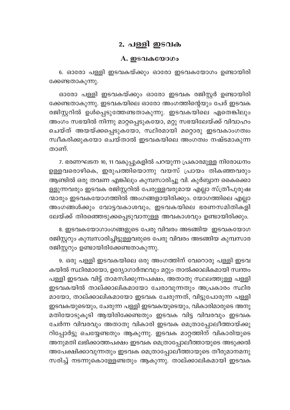## 2. പള്ളി ഇടവക

#### A. ഇടവകയോഗം

6. ഓരോ പള്ളി ഇടവകയ്ക്കും ഓരോ ഇടവകയോഗം ഉണ്ടായിരി ക്കേണ്ടതാകുന്നു.

ഓരോ പള്ളി ഇടവകയ്ക്കും ഓരോ ഇടവക രജിസ്റ്റർ ഉണ്ടായിരി ക്കേണ്ടതാകുന്നു. ഇടവകയിലെ ഓരോ അംഗത്തിന്റെയും പേര് ഇടവക രജിസ്റ്ററിൽ ഉൾപ്പെടുത്തേണ്ടതാകുന്നു. ഇടവകയിലെ ഏതെങ്കിലും അംഗം സഭയിൽ നിന്നു മാറ്റപ്പെടുകയോ, മറ്റു സഭയിലേയ്ക്ക് വിവാഹം ചെയ്ത് അയയ്ക്കപ്പെടുകയോ, സ്ഥിരമായി മറ്റൊരു ഇടവകാംഗത്വം സ്വീകരിക്കുകയോ ചെയ്താൽ ഇടവകയിലെ അംഗത്വം നഷ്ടമാകുന്ന താണ്

7. ഭരണഘടന 10, 11 വകുപ്പുകളിൽ പറയുന്ന പ്രകാരമുള്ള നിരോധനം ഉള്ളവരൊഴികെ, ഇരുപത്തിയൊന്നു വയസ് പ്രായം തികഞ്ഞവരും ആണ്ടിൽ ഒരു തവണ എങ്കിലും കുമ്പസാരിച്ചു വി. കുർബ്ബാന കൈക്കൊ ള്ളുന്നവരും ഇടവക രജിസ്റ്ററിൽ പേരുള്ളവരുമായ എല്ലാ സ്ത്രീപുരുഷ .<br>ന്മാരും ഇടവകയോഗത്തിൽ അംഗങ്ങളായിരിക്കും. യോഗത്തിലെ എല്ലാ അംഗങ്ങൾക്കും വോട്ടവകാശവും, ഇടവകയിലെ ഭരണസമിതികളി ലേയ്ക്ക് തിരഞ്ഞെടുക്കപ്പെടുവാനുള്ള അവകാശവും ഉണ്ടായിരിക്കും.

8. ഇടവകയോഗാംഗങ്ങളുടെ പേരു വിവരം അടങ്ങിയ ഇടവകയോഗ രജിസ്റ്ററും കുമ്പസാരിച്ചിട്ടുള്ളവരുടെ പേരു വിവരം അടങ്ങിയ കുമ്പസാര രജിസ്റ്ററും ഉണ്ടായിരിക്കേണ്ടതാകുന്നു.

9. ഒരു പള്ളി ഇടവകയിലെ ഒരു അംഗത്തിന് വേറൊരു പള്ളി ഇടവ കയിൽ സ്ഥിരമായോ, ഉദ്യോഗാർത്ഥവും മറ്റും താൽക്കാലികമായി സ്വന്തം പള്ളി ഇടവക വിട്ട് താമസിക്കുന്നപക്ഷം, അതാതു സ്ഥലത്തുള്ള പള്ളി ഇടവകയിൽ താല്ക്കാലികമായോ ചേരാവുന്നതും അപ്രകാരം സ്ഥിര മായോ, താല്ക്കാലികമായോ ഇടവക ചേരുന്നത്, വിട്ടുപോരുന്ന പള്ളി ഇടവകയുടെയും, ചേരുന്ന പള്ളി ഇടവകയുടെയും, വികാരിമാരുടെ അനു മതിയോടുകൂടി ആയിരിക്കേണ്ടതും ഇടവക വിട്ട വിവരവും ഇടവക ചേർന്ന വിവരവും അതാതു വികാരി ഇടവക മെത്രാപ്പോലീത്തായ്ക്കു റിപ്പോർട്ടു ചെയ്യേണ്ടതും ആകുന്നു. ഇടവക മാറ്റത്തിന് വികാരിയുടെ അനുമതി ലഭിക്കാത്തപക്ഷം ഇടവക മെത്രാപ്പോലീത്തായുടെ അടുക്കൽ അപേക്ഷിക്കാവുന്നതും ഇടവക മെത്രാപ്പോലീത്തായുടെ തീരുമാനമനു സരിച്ച് നടന്നുകൊള്ളേണ്ടതും ആകുന്നു. താല്ക്കാലികമായി ഇടവക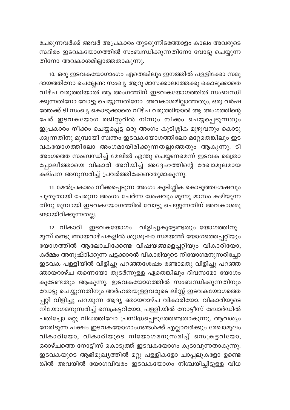ചേരുന്നവർക്ക് അവർ അപ്രകാരം തുടരുന്നിടത്തോളം കാലം അവരുടെ സ്ഥിരം ഇടവകയോഗത്തിൽ സംബന്ധിക്കുന്നതിനോ വോട്ടു ചെയ്യുന്ന തിനോ അവകാശമില്ലാത്തതാകുന്നു.

10. ഒരു ഇടവകയോഗാംഗം ഏതെങ്കിലും ഇനത്തിൽ പള്ളിക്കോ സമു ദായത്തിനോ ചെല്ലേണ്ട സംഖ്യ ആറു മാസക്കാലത്തേക്കു കൊടുക്കാതെ വീഴ്ച വരുത്തിയാൽ ആ അംഗത്തിന് ഇടവകയോഗത്തിൽ സംബന്ധി ക്കുന്നതിനോ വോട്ടു ചെയ്യുന്നതിനോ അവകാശമില്ലാത്തതും, ഒരു വർഷ ത്തേക്ക് ടി സംഖ്യ കൊടുക്കാതെ വീഴ്ച വരുത്തിയാൽ ആ അംഗത്തിന്റെ പേര് ഇടവകയോഗ രജിസ്റ്ററിൽ നിന്നും നീക്കം ചെയ്യപ്പെടുന്നതും ഇപ്രകാരം നീക്കം ചെയ്യപ്പെട്ട ഒരു അംഗം കുടിശ്ശിക മുഴുവനും കൊടു ക്കുന്നതിനു മുമ്പായി സ്വന്തം ഇടവകയോഗത്തിലോ മറ്റേതെങ്കിലും ഇട വകയോഗത്തിലോ അംഗമായിരിക്കുന്നതല്ലാത്തതും ആകുന്നു. ടി അംഗത്തെ സംബന്ധിച്ച് മേലിൽ എന്തു ചെയ്യണമെന്ന് ഇടവക മെത്രാ പ്പോലീത്തായെ വികാരി അറിയിച്ച് അദ്ദേഹത്തിന്റെ രേഖാമൂലമായ കല്പന അനുസരിച്ച് പ്രവർത്തിക്കേണ്ടതുമാകുന്നു.

11. മേൽപ്രകാരം നീക്കപ്പെടുന്ന അംഗം കുടിശ്ശിക കൊടുത്തശേഷവും പുതുതായി ചേരുന്ന അംഗം ചേർന്ന ശേഷവും മൂന്നു മാസം കഴിയുന്ന തിനു മുമ്പായി ഇടവകയോഗത്തിൽ വോട്ടു ചെയ്യുന്നതിന് അവകാശമു ണ്ടായിരിക്കുന്നതല്ല.

12. വികാരി ഇടവകയോഗം വിളിച്ചുകൂട്ടേണ്ടതും യോഗത്തിനു മുമ്പ് രണ്ടു ഞായറാഴ്ചകളിൽ ശുശ്രൂഷാ സമയത്ത് യോഗത്തെപ്പറ്റിയും യോഗത്തിൽ ആലോചിക്കേണ്ട വിഷയങ്ങളെപ്പറ്റിയും വികാരിയോ, കർമ്മം അനുഷ്ഠിക്കുന്ന പട്ടക്കാരൻ വികാരിയുടെ നിയോഗമനുസരിച്ചോ ഇടവക പള്ളിയിൽ വിളിച്ചു പറഞ്ഞശേഷം രണ്ടാമതു വിളിച്ചു പറഞ്ഞ ഞായറാഴ്ച തന്നെയോ തുടർന്നുള്ള ഏതെങ്കിലും ദിവസമോ യോഗം കൂടേണ്ടതും ആകുന്നു. ഇടവകയോഗത്തിൽ സംബന്ധിക്കുന്നതിനും വോട്ടു ചെയ്യുന്നതിനും അർഹതയുള്ളവരുടെ ലിസ്റ്റ് ഇടവകയോഗത്തെ പ്പറ്റി വിളിച്ചു പറയുന്ന ആദ്യ ഞായറാഴ്ച വികാരിയോ, വികാരിയുടെ നിയോഗമനുസരിച്ച് സെക്രട്ടറിയോ, പള്ളിയിൽ നോട്ടീസ് ബോർഡിൽ പതിച്ചോ മറ്റു വിധത്തിലോ പ്രസിദ്ധപ്പെടുത്തേണ്ടതാകുന്നു. ആവശ്യം നേരിടുന്ന പക്ഷം ഇടവകയോഗാംഗങ്ങൾക്ക് എല്ലാവർക്കും രേഖാമൂലം വികാരിയോ, വികാരിയുടെ നിയോഗമനുസരിച്ച് സെക്രട്ടറിയോ, ഒരാഴ്ചത്തെ നോട്ടീസ് കൊടുത്ത് ഇടവകയോഗം കൂടാവുന്നതാകുന്നു. ഇടവകയുടെ ആഭിമുഖ്യത്തിൽ മറ്റു പള്ളികളോ ചാപ്പലുകളോ ഉണ്ടെ ങ്കിൽ അവയിൽ യോഗവിവരം ഇടവകയോഗം നിശ്ചയിച്ചിട്ടുള്ള വിധ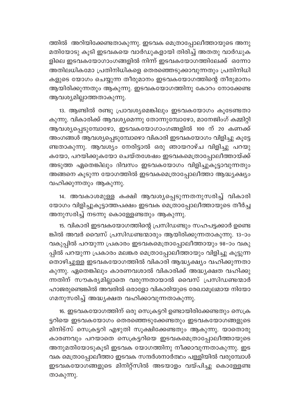ത്തിൽ അറിയിക്കേണ്ടതാകുന്നു. ഇടവക മെത്രാപ്പോലീത്തായുടെ അനു മതിയോടു കൂടി ഇടവകയെ വാർഡുകളായി തിരിച്ച് അതതു വാർഡുക ളിലെ ഇടവകയോഗാംഗങ്ങളിൽ നിന്ന് ഇടവകയോഗത്തിലേക്ക് ഒന്നോ അതിലധികമോ പ്രതിനിധികളെ തെരഞ്ഞെടുക്കാവുന്നതും പ്രതിനിധി കളുടെ യോഗം ചെയ്യുന്ന തീരുമാനം ഇടവകയോഗത്തിന്റെ തീരുമാനം ആയിരിക്കുന്നതും ആകുന്നു. ഇടവകയോഗത്തിനു കോറം നോക്കേണ്ട ആവശ്യമില്ലാത്തതാകുന്നു.

13. ആണ്ടിൽ രണ്ടു പ്രാവശ്യമെങ്കിലും ഇടവകയോഗം കൂടേണ്ടതാ കുന്നു. വികാരിക്ക് ആവശ്യമെന്നു തോന്നുമ്പോഴോ, മാനേജിംഗ് കമ്മിറ്റി ആവശ്യപ്പെടുമ്പോഴോ, ഇടവകയോഗാംഗങ്ങളിൽ 100 ന് 20 കണക്ക് അംഗങ്ങൾ ആവശ്യപ്പെടുമ്പോഴൊ വികാരി ഇടവകയോഗം വിളിച്ചു കൂട്ടേ ണ്ടതാകുന്നു. ആവശ്യം നേരിട്ടാൽ ഒരു ഞായറാഴ്ച വിളിച്ചു പറയു കയോ, പറയിക്കുകയോ ചെയ്തശേഷം ഇടവകമെത്രാപ്പോലീത്തായ്ക്ക് അടുത്ത ഏതെങ്കിലും ദിവസം ഇടവകയോഗം വിളിച്ചുകൂട്ടാവുന്നതും അങ്ങനെ കൂടുന്ന യോഗത്തിൽ ഇടവകമെത്രാപ്പോലീത്താ ആദ്ധ്യക്ഷ്യം വഹിക്കുന്നതും ആകുന്നു.

14. അവകാശമുള്ള കക്ഷി ആവശ്യപ്പെടുന്നതനുസരിച്ച് വികാരി യോഗം വിളിച്ചുകൂട്ടാത്തപക്ഷം ഇടവക മെത്രാപ്പോലീത്തായുടെ തീർച്ച അനുസരിച്ച് നടന്നു കൊള്ളേണ്ടതും ആകുന്നു.

15. വികാരി ഇടവകയോഗത്തിന്റെ പ്രസിഡണ്ടും സഹപട്ടക്കാർ ഉണ്ടെ ങ്കിൽ അവർ വൈസ് പ്രസിഡണ്ടന്മാരും ആയിരിക്കുന്നതാകുന്നു. 13–ാം വകുപ്പിൽ പറയുന്ന പ്രകാരം ഇടവകമെത്രാപ്പോലീത്തായും 98-ാം വകു പ്പിൽ പറയുന്ന പ്രകാരം മലങ്കര മെത്രാപ്പോലീത്തായും വിളിച്ചു കൂട്ടുന്ന തൊഴിച്ചുള്ള ഇടവകയോഗത്തിൽ വികാരി ആദ്ധ്യക്ഷ്യം വഹിക്കുന്നതാ കുന്നു. ഏതെങ്കിലും കാരണവശാൽ വികാരിക്ക് അദ്ധ്യക്ഷത വഹിക്കു ന്നതിന് സൗകര്യമില്ലാതെ വരുന്നതായാൽ വൈസ് പ്രസിഡണ്ടന്മാർ ഹാജരുണ്ടെങ്കിൽ അവരിൽ ഒരാളോ വികാരിയുടെ രേഖാമൂലമായ നിയോ ഗമനുസരിച്ച് അദ്ധ്യക്ഷത വഹിക്കാവുന്നതാകുന്നു.

16. ഇടവകയോഗത്തിന് ഒരു സെക്രട്ടറി ഉണ്ടായിരിക്കേണ്ടതും സെക്ര ട്ടറിയെ ഇടവകയോഗം തെരഞ്ഞെടുക്കേണ്ടതും ഇടവകയോഗങ്ങളുടെ മിനിട്സ് സെക്രട്ടറി എഴുതി സൂക്ഷിക്കേണ്ടതും ആകുന്നു. യാതൊരു കാരണവും പറയാതെ സെക്രട്ടറിയെ ഇടവകമെത്രാപ്പോലീത്തായുടെ അനുമതിയോടുകൂടി ഇടവക യോഗത്തിനു നീക്കാവുന്നതാകുന്നു. ഇട വക മെത്രാപ്പോലീത്താ ഇടവക സന്ദർശനാർത്ഥം പള്ളിയിൽ വരുമ്പോൾ ഇടവകയോഗങ്ങളുടെ മിനിറ്റ്സിൽ അടയാളം വയ്പിച്ചു കൊള്ളേണ്ട താകുന്നു.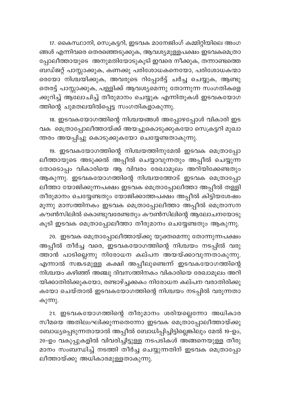17. കൈസ്ഥാനി, സെക്രട്ടറി, ഇടവക മാനേജിംഗ് കമ്മിറ്റിയിലെ അംഗ ങ്ങൾ എന്നിവരെ തെരഞ്ഞെടുക്കുക, ആവശ്യമുള്ളപക്ഷം ഇടവകമെത്രാ പ്പോലീത്തായുടെ അനുമതിയോടുകൂടി ഇവരെ നീക്കുക, തന്നാണ്ടത്തെ ബഡ്ജറ്റ് പാസ്സാക്കുക, കണക്കു പരിശോധകനെയോ, പരിശോധകന്മാ രെയോ നിശ്ചയിക്കുക, അവരുടെ റിപ്പോർട്ട് ചർച്ച ചെയ്യുക, ആണ്ടു തെരട്ട് പാസ്സാക്കുക, പള്ളിക്ക് ആവശ്യമെന്നു തോന്നുന്ന സംഗതികളെ ക്കുറിച്ച് ആലോചിച്ച് തീരുമാനം ചെയ്യുക എന്നിതുകൾ ഇടവകയോഗ ത്തിന്റെ ചുമതലയിൽപ്പെട്ട സംഗതികളാകുന്നു.

18. ഇടവകയോഗത്തിന്റെ നിശ്ചയങ്ങൾ അപ്പോഴപ്പോൾ വികാരി ഇട വക മെത്രാപ്പോലീത്തായ്ക്ക് അയച്ചുകൊടുക്കുകയോ സെക്രട്ടറി മുഖാ ന്തരം അയപ്പിച്ചു കൊടുക്കുകയോ ചെയ്യേണ്ടതാകുന്നു.

19. ഇടവകയോഗത്തിന്റെ നിശ്ചയത്തിനുമേൽ ഇടവക മെത്രാപ്പോ ലീത്തായുടെ അടുക്കൽ അപ്പീൽ ചെയ്യാവുന്നതും അപ്പീൽ ചെയ്യുന്ന തോടൊപ്പം വികാരിയെ ആ വിവരം രേഖാമൂലം അറിയിക്കേണ്ടതും ആകുന്നു. ഇടവകയോഗത്തിന്റെ നിശ്ചയത്തോട് ഇടവക മെത്രാപ്പോ ലീത്താ യോജിക്കുന്നപക്ഷം ഇടവക മെത്രാപ്പോലീത്താ അപ്പീൽ തള്ളി തീരുമാനം ചെയ്യേണ്ടതും യോജിക്കാത്തപക്ഷം അപ്പീൽ കിട്ടിയശേഷം മൂന്നു മാസത്തിനകം ഇടവക മെത്രാപ്പോലീത്താ അപ്പീൽ മെത്രാസന കൗൺസിലിൽ കൊണ്ടുവരേണ്ടതും കൗൺസിലിന്റെ ആലോചനയോടു കൂടി ഇടവക മെത്രാപ്പോലീത്താ തീരുമാനം ചെയ്യേണ്ടതും ആകുന്നു.

20. ഇടവക മെത്രാപ്പോലീത്തായ്ക്കു യുക്തമെന്നു തോന്നുന്നപക്ഷം അപ്പീൽ തീർച്ച വരെ, ഇടവകയോഗത്തിന്റെ നിശ്ചയം നടപ്പിൽ വരു ത്താൻ പാടില്ലെന്നു നിരോധന കല്പന അയയ്ക്കാവുന്നതാകുന്നു. എന്നാൽ സങ്കടമുള്ള കക്ഷി അപ്പീലുണ്ടെന്ന് ഇടവകയോഗത്തിന്റെ നിശ്ചയം കഴിഞ്ഞ് അഞ്ചു ദിവസത്തിനകം വികാരിയെ രേഖാമൂലം അറി യിക്കാതിരിക്കുകയോ, രണ്ടാഴ്ച്ചക്കകം നിരോധന കല്പന വരാതിരിക്കു കയോ ചെയ്താൽ ഇടവകയോഗത്തിന്റെ നിശ്ചയം നടപ്പിൽ വരുന്നതാ കുന്നു.

21. ഇടവകയോഗത്തിന്റെ തീരുമാനം ശരിയല്ലെന്നോ അധികാര സീമയെ അതിലംഘിക്കുന്നതെന്നോ ഇടവക മെത്രാപ്പോലീത്തായ്ക്കു ബോധ്യപ്പെടുന്നതായാൽ അപ്പീൽ ബോധിപ്പിച്ചിട്ടില്ലെങ്കിലും മേൽ 19-ഉം, 20-ഉം വകുപ്പുകളിൽ വിവരിച്ചിട്ടുള്ള നടപടികൾ അങ്ങനെയുള്ള തീരു മാനം സംബന്ധിച്ച് നടത്തി തീർച്ച ചെയ്യുന്നതിന് ഇടവക മെത്രാപ്പോ ലീത്തായ്ക്കു അധികാരമുള്ളതാകുന്നു.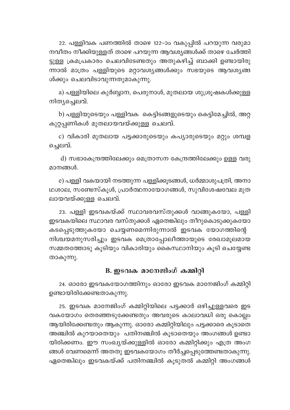22. പള്ളിവക പണത്തിൽ താഴെ 122–ാം വകുപ്പിൽ പറയുന്ന വരുമാ നവീതം നീക്കിയുള്ളത് താഴെ പറയുന്ന ആവശ്യങ്ങൾക്ക് താഴെ ചേർത്തി ട്ടുള്ള ക്രമപ്രകാരം ചെലവിടേണ്ടതും അതുകഴിച്ച് ബാക്കി ഉണ്ടായിരു ന്നാൽ മാത്രം പള്ളിയുടെ മറ്റാവശ്യങ്ങൾക്കും സഭയുടെ ആവശ്യങ്ങ ൾക്കും ചെലവിടാവുന്നതുമാകുന്നു.

a) പള്ളിയിലെ കുർബ്ബാന, പെരുനാൾ, മുതലായ ശുശ്രൂഷകൾക്കുള്ള നിതൃച്ചെലവ്.

b) പള്ളിയുടെയും പള്ളിവക കെട്ടിടങ്ങളുടെയും കെട്ടിമേച്ചിൽ, അറ്റ കുറ്റപ്പണികൾ മുതലായവയ്ക്കുള്ള ചെലവ്.

c) വികാരി മുതലായ പട്ടക്കാരുടെയും കപ്യാരുടെയും മറ്റും ശമ്പള ച്ചെലവ്.

d) സഭാകേന്ദ്രത്തിലേക്കും മെത്രാസന കേന്ദ്രത്തിലേക്കും ഉള്ള വരു മാനങ്ങൾ.

e) പള്ളി വകയായി നടത്തുന്ന പള്ളിക്കൂടങ്ങൾ, ധർമ്മാശുപത്രി, അനാ ഥശാല, സണ്ടേസ്കുൾ, പ്രാർത്ഥനായോഗങ്ങൾ, സുവിശേഷവേല മുത ലായവയ്ക്കുള്ള ചെലവ്.

23. പള്ളി ഇടവകയ്ക്ക് സ്ഥാവരവസ്തുക്കൾ വാങ്ങുകയോ, പള്ളി ഇടവകയിലെ സ്ഥാവര വസ്തുക്കൾ ഏതെങ്കിലും തീറുകൊടുക്കുകയോ കടപ്പെടുത്തുകയോ ചെയ്യണമെന്നിരുന്നാൽ ഇടവക യോഗത്തിന്റെ നിശ്ചയമനുസരിച്ചും ഇടവക മെത്രാപ്പോലീത്തായുടെ രേഖാമൂലമായ സമ്മതത്തോടു കൂടിയും വികാരിയും കൈസ്ഥാനിയും കൂടി ചെയ്യേണ്ട താകുന്നു.

## B. ഇടവക മാനേജിംഗ് കമ്മിറി

24. ഓരോ ഇടവകയോഗത്തിനും ഓരോ ഇടവക മാനേജിംഗ് കമ്മിറ്റി ഉണ്ടായിരിക്കേണ്ടതാകുന്നു.

25. ഇടവക മാനേജിംഗ് കമ്മിറ്റിയിലെ പട്ടക്കാർ ഒഴിച്ചുള്ളവരെ ഇട വകയോഗം തെരഞ്ഞടുക്കേണ്ടതും അവരുടെ കാലാവധി ഒരു കൊല്ലം ആയിരിക്കേണ്ടതും ആകുന്നു. ഓരോ കമ്മിറ്റിയിലും പട്ടക്കാരെ കൂടാതെ അഞ്ചിൽ കുറയാതെയും പതിനഞ്ചിൽ കൂടാതെയും അംഗങ്ങൾ ഉണ്ടാ യിരിക്കണം. ഈ സംഖ്യയ്ക്കുള്ളിൽ ഓരോ കമ്മിറ്റിക്കും എത്ര അംഗ ങ്ങൾ വേണമെന്ന് അതതു ഇടവകയോഗം തീർച്ചപ്പെടുത്തേണ്ടതാകുന്നു. ഏതെങ്കിലും ഇടവകയ്ക്ക് പതിനഞ്ചിൽ കൂടുതൽ കമ്മിറ്റി അംഗങ്ങൾ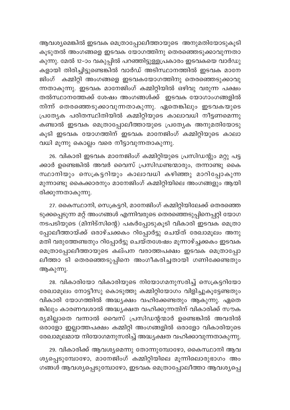ആവശ്യമെങ്കിൽ ഇടവക മെത്രാപ്പോലീത്തായുടെ അനുമതിയോടുകൂടി കൂടുതൽ അംഗങ്ങളെ ഇടവക യോഗത്തിനു തെരഞ്ഞെടുക്കാവുന്നതാ കുന്നു. മേൽ 12-ാം വകുപ്പിൽ പറഞ്ഞിട്ടുള്ളപ്രകാരം ഇടവകയെ വാർഡു കളായി തിരിച്ചിട്ടുണ്ടെങ്കിൽ വാർഡ് അടിസ്ഥാനത്തിൽ ഇടവക മാനേ ജിംഗ് കമ്മിറ്റി അംഗങ്ങളെ ഇടവകയോഗത്തിനു തെരഞ്ഞെടുക്കാവു ന്നതാകുന്നു. ഇടവക മാനേജിംഗ് കമ്മിറ്റിയിൽ ഒഴിവു വരുന്ന പക്ഷം തൽസ്ഥാനത്തേക്ക് ശേഷം അംഗങ്ങൾക്ക് ഇടവക യോഗാംഗങ്ങളിൽ നിന്ന് തെരഞ്ഞെടുക്കാവുന്നതാകുന്നു. ഏതെങ്കിലും ഇടവകയുടെ പ്രത്യേക പരിതസ്ഥിതിയിൽ കമ്മിറ്റിയുടെ കാലാവധി നീട്ടണമെന്നു കണ്ടാൽ ഇടവക മെത്രാപ്പോലീത്തായുടെ പ്രത്യേക അനുമതിയോടു കൂടി ഇടവക യോഗത്തിന് ഇടവക മാനേജിംഗ് കമ്മിറ്റിയുടെ കാലാ വധി മൂന്നു കൊല്ലം വരെ നീട്ടാവുന്നതാകുന്നു.

26. വികാരി ഇടവക മാനേജിംഗ് കമ്മിറ്റിയുടെ പ്രസിഡന്റും മറ്റു പട്ട ക്കാർ ഉണ്ടെങ്കിൽ അവർ വൈസ് പ്രസിഡണ്ടന്മാരും, തന്നാണ്ടു കൈ സ്ഥാനിയും സെക്രട്ടറിയും കാലാവധി കഴിഞ്ഞു മാറിപ്പോകുന്ന മുന്നാണ്ടു കൈക്കാരനും മാനേജിംഗ് കമ്മിറ്റിയിലെ അംഗങ്ങളും ആയി രിക്കുന്നതാകുന്നു.

27. കൈസ്ഥാനി, സെക്രട്ടറി, മാനേജിംഗ് കമ്മിറ്റിയിലേക്ക് തെരഞ്ഞെ ടുക്കപ്പെടുന്ന മറ്റ് അംഗങ്ങൾ എന്നിവരുടെ തെരഞ്ഞെടുപ്പിനെപ്പറ്റി യോഗ നടപടിയുടെ (മിനിട്സിന്റെ) പകർപ്പോടുകൂടി വികാരി ഇടവക മെത്രാ പ്പോലീത്തായ്ക്ക് ഒരാഴ്ചക്കകം റിപ്പോർട്ടു ചെയ്ത് രേഖാമൂലം അനു മതി വരുത്തേണ്ടതും റിപ്പോർട്ടു ചെയ്തശേഷം മൂന്നാഴ്ച്ചക്കകം ഇടവക മെത്രാപ്പോലീത്തായുടെ കല്പന വരാത്തപക്ഷം ഇടവക മെത്രാപ്പോ ലീത്താ ടി തെരഞ്ഞെടുപ്പിനെ അംഗീകരിച്ചതായി ഗണിക്കേണ്ടതും ആകുന്നു.

28. വികാരിയോ വികാരിയുടെ നിയോഗമനുസരിച്ച് സെക്രട്ടറിയോ രേഖാമൂലം നോട്ടീസു കൊടുത്തു കമ്മിറ്റിയോഗം വിളിച്ചുകൂട്ടേണ്ടതും വികാരി യോഗത്തിൽ അദ്ധ്യക്ഷം വഹിക്കേണ്ടതും ആകുന്നു. ഏതെ ങ്കിലും കാരണവശാൽ അദ്ധ്യക്ഷത വഹിക്കുന്നതിന് വികാരിക്ക് സൗക ര്യമില്ലാതെ വന്നാൽ വൈസ് പ്രസിഡന്റന്മാർ ഉണ്ടെങ്കിൽ അവരിൽ ഒരാളോ ഇല്ലാത്തപക്ഷം കമ്മിറ്റി അംഗങ്ങളിൽ ഒരാളോ വികാരിയുടെ രേഖാമൂലമായ നിയോഗമനുസരിച്ച് അദ്ധ്യക്ഷത വഹിക്കാവുന്നതാകുന്നു.

29. വികാരിക്ക് ആവശ്യമെന്നു തോന്നുമ്പോഴോ, കൈസ്ഥാനി ആവ ശ്യപ്പെടുമ്പോഴോ, മാനേജിംഗ് കമ്മിറ്റിയിലെ മൂന്നിലൊരുഭാഗം അം ഗങ്ങൾ ആവശ്യപ്പെടുമ്പോഴോ, ഇടവക മെത്രാപ്പോലീത്താ ആവശ്യപ്പെ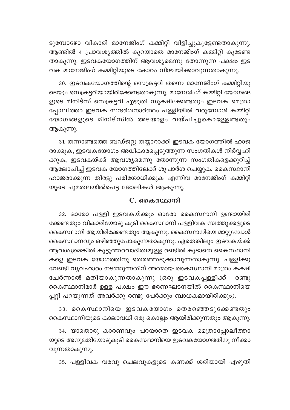ടുമ്പോഴോ വികാരി മാനേജിംഗ് കമ്മിറ്റി വിളിച്ചുകൂട്ടേണ്ടതാകുന്നു. ആണ്ടിൽ 4 പ്രാവശ്യത്തിൽ കുറയാതെ മാനേജിംഗ് കമ്മിറ്റി കൂടേണ്ട താകുന്നു. ഇടവകയോഗത്തിന് ആവശ്യമെന്നു തോന്നുന്ന പക്ഷം ഇട വക മാനേജിംഗ് കമ്മിറ്റിയുടെ കോറം നിശ്ചയിക്കാവുന്നതാകുന്നു.

30. ഇടവകയോഗത്തിന്റെ സെക്രട്ടറി തന്നെ മാനേജിംഗ് കമ്മിറ്റിയു ടെയും സെക്രട്ടറിയായിരിക്കേണ്ടതാകുന്നു. മാനേജിംഗ് കമ്മിറ്റി യോഗങ്ങ ളുടെ മിനിട്സ് സെക്രട്ടറി എഴുതി സൂക്ഷിക്കേണ്ടതും ഇടവക മെത്രാ പ്പോലീത്താ ഇടവക സന്ദർശനാർത്ഥം പള്ളിയിൽ വരുമ്പോൾ കമ്മിറ്റി യോഗങ്ങളുടെ മിനിട്സിൽ അടയാളം വയ്പിച്ചുകൊള്ളേണ്ടതും ആകുന്നു.

31. തന്നാണ്ടത്തെ ബഡ്ജറ്റു തയ്യാറാക്കി ഇടവക യോഗത്തിൽ ഹാജ രാക്കുക, ഇടവകയോഗം അധികാരപ്പെടുത്തുന്ന സംഗതികൾ നിർവ്വഹി ക്കുക, ഇടവകയ്ക്ക് ആവശ്യമെന്നു തോന്നുന്ന സംഗതികളെക്കുറിച്ച് ആലോചിച്ച് ഇടവക യോഗത്തിലേക്ക് ശുപാർശ ചെയ്യുക, കൈസ്ഥാനി ഹാജരാക്കുന്ന തിരട്ടു പരിശോധിക്കുക എന്നിവ മാനേജിംഗ് കമ്മിറ്റി യുടെ ചുമതലയിൽപെട്ട ജോലികൾ ആകുന്നു.

#### C. കൈസ്ഥാനി

32. ഓരോ പള്ളി ഇടവകയ്ക്കും ഓരോ കൈസ്ഥാനി ഉണ്ടായിരി ക്കേണ്ടതും വികാരിയോടു കൂടി കൈസ്ഥാനി പള്ളിവക സ്വത്തുക്കളുടെ കൈസ്ഥാനി ആയിരിക്കേണ്ടതും ആകുന്നു. കൈസ്ഥാനിയെ മാറ്റുമ്പോൾ കൈസ്ഥാനവും ഒഴിഞ്ഞുപോകുന്നതാകുന്നു. ഏതെങ്കിലും ഇടവകയ്ക്ക് ആവശ്യമെങ്കിൽ കൂട്ടുത്തരവാദിത്വമുള്ള രണ്ടിൽ കൂടാതെ കൈസ്ഥാനി കളെ ഇടവക യോഗത്തിനു തെരഞ്ഞടുക്കാവുന്നതാകുന്നു. പള്ളിക്കു വേണ്ടി വ്യവഹാരം നടത്തുന്നതിന് അത്മായ കൈസ്ഥാനി മാത്രം കക്ഷി ചേർന്നാൽ മതിയാകുന്നതാകുന്നു (ഒരു ഇടവകപ്പള്ളിക്ക് രണ്ടു കൈസ്ഥാനിമാർ ഉള്ള പക്ഷം ഈ ഭരണഘടനയിൽ കൈസ്ഥാനിയെ പ്പറ്റി പറയുന്നത് അവർക്കു രണ്ടു പേർക്കും ബാധകമായിരിക്കും).

33. കൈസ്ഥാനിയെ ഇടവകയോഗം തെരഞ്ഞെടുക്കേണ്ടതും കൈസ്ഥാനിയുടെ കാലാവധി ഒരു കൊല്ലം ആയിരിക്കുന്നതും ആകുന്നു.

34. യാതൊരു കാരണവും പറയാതെ ഇടവക മെത്രാപ്പോലീത്താ യുടെ അനുമതിയോടുകുടി കൈസ്ഥാനിയെ ഇടവകയോഗത്തിനു നീക്കാ വുന്നതാകുന്നു.

35. പള്ളിവക വരവു ചെലവുകളുടെ കണക്ക് ശരിയായി എഴുതി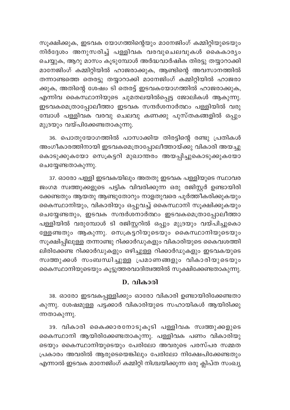സൂക്ഷിക്കുക, ഇടവക യോഗത്തിന്റെയും മാനേജിംഗ് കമ്മിറ്റിയുടെയും നിർദ്ദേശം അനുസരിച്ച് പള്ളിവക വരവുചെലവുകൾ കൈകാര്യം ചെയ്യുക, ആറു മാസം കൂടുമ്പോൾ അർദ്ധവാർഷിക തിരട്ടു തയ്യാറാക്കി മാനേജിംഗ് കമ്മിറ്റിയിൽ ഹാജരാക്കുക, ആണ്ടിന്റെ അവസാനത്തിൽ തന്നാണ്ടത്തെ തെരട്ടു തയ്യാറാക്കി മാനേജിംഗ് കമ്മിറ്റിയിൽ ഹാജരാ ക്കുക, അതിന്റെ ശേഷം ടി തെരട്ട് ഇടവകയോഗത്തിൽ ഹാജരാക്കുക, എന്നിവ കൈസ്ഥാനിയുടെ ചുമതലയിൽപ്പെട്ട ജോലികൾ ആകുന്നു. ഇടവകമെത്രാപ്പോലീത്താ ഇടവക സന്ദർശനാർത്ഥം പള്ളിയിൽ വരു മ്പോൾ പള്ളിവക വരവു ചെലവു കണക്കു പുസ്തകങ്ങളിൽ ഒപ്പും മുദ്രയും വയ്പിക്കേണ്ടതാകുന്നു.

36. പൊതുയോഗത്തിൽ പാസാക്കിയ തിരട്ടിന്റെ രണ്ടു പ്രതികൾ അംഗീകാരത്തിനായി ഇടവകമെത്രാപ്പോലീത്തായ്ക്കു വികാരി അയച്ചു കൊടുക്കുകയോ സെക്രട്ടറി മുഖാന്തരം അയപ്പിച്ചുകൊടുക്കുകയോ ചെയ്യേണ്ടതാകുന്നു.

37. ഓരോ പള്ളി ഇടവകയിലും അതതു ഇടവക പള്ളിയുടെ സ്ഥാവര ജംഗമ സ്വത്തുക്കളുടെ പട്ടിക വിവരിക്കുന്ന ഒരു രജിസ്റ്റർ ഉണ്ടായിരി ക്കേണ്ടതും ആയതു ആണ്ടുതോറും നാളതുവരെ പൂർത്തീകരിക്കുകയും കൈസ്ഥാനിയും, വികാരിയും ഒപ്പുവച്ച് കൈസ്ഥാനി സൂക്ഷിക്കുകയും ചെയ്യേണ്ടതും, ഇടവക സന്ദർശനാർത്ഥം ഇടവകമെത്രാപ്പോലീത്താ പള്ളിയിൽ വരുമ്പോൾ ടി രജിസ്റ്ററിൽ ഒപ്പും മുദ്രയും വയ്പിച്ചുകൊ ള്ളേണ്ടതും ആകുന്നു. സെക്രട്ടറിയുടെയും കൈസ്ഥാനിയുടെയും സൂക്ഷിപ്പിലുള്ള തന്നാണ്ടു റിക്കാർഡുകളും വികാരിയുടെ കൈവശത്തി ലിരിക്കേണ്ട റിക്കാർഡുകളും ഒഴിച്ചുള്ള റിക്കാർഡുകളും ഇടവകയുടെ സ്വത്തുക്കൾ സംബന്ധിച്ചുള്ള പ്രമാണങ്ങളും വികാരിയുടെയു<mark>ം</mark> കൈസ്ഥാനിയുടെയും കൂട്ടുത്തരവാദിത്വത്തിൽ സൂക്ഷിക്കേണ്ടതാകുന്നു.

### D. വികാരി

38. ഓരോ ഇടവകപ്പള്ളിക്കും ഓരോ വികാരി ഉണ്ടായിരിക്കേണ്ടതാ കുന്നു. ശേഷമുള്ള പട്ടക്കാർ വികാരിയുടെ സഹായികൾ ആയിരിക്കു ന്നതാകുന്നു.

39. വികാരി കൈക്കാരനോടുകൂടി പള്ളിവക സ്വത്തുക്കളുടെ കൈസ്ഥാനി ആയിരിക്കേണ്ടതാകുന്നു. പള്ളിവക പണം വികാരിയു ടെയും കൈസ്ഥാനിയുടെയും പേരിലോ അവരുടെ പരസ്പര സമ്മത പ്രകാരം അവരിൽ ആരുടെയെങ്കിലും പേരിലോ നിക്ഷേപിക്കേണ്ടതും എന്നാൽ ഇടവക മാനേജിംഗ് കമ്മിറ്റി നിശ്ചയിക്കുന്ന ഒരു ക്ലിപ്ത സംഖ്യ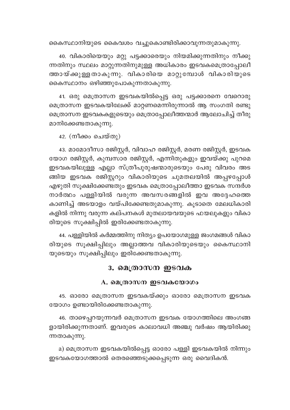കൈസ്ഥാനിയുടെ കൈവശം വച്ചുകൊണ്ടിരിക്കാവുന്നതുമാകുന്നു.

40. വികാരിയെയും മറ്റു പട്ടക്കാരെയും നിയമിക്കുന്നതിനും നീക്കു ന്നതിനും സ്ഥലം മാറ്റുന്നതിനുമുള്ള അധികാരം ഇടവകമെത്രാപ്പോലീ ത്തായ്ക്കുള്ളതാകുന്നു. വികാരിയെ മാറ്റുമ്പോൾ വികാരിയുടെ കൈസ്ഥാനം ഒഴിഞ്ഞുപോകുന്നതാകുന്നു.

41. ഒരു മെത്രാസന ഇടവകയിൽപ്പെട്ട ഒരു പട്ടക്കാരനെ വേറൊരു മെത്രാസന ഇടവകയിലേക്ക് മാറ്റണമെന്നിരുന്നാൽ ആ സംഗതി രണ്ടു മെത്രാസന ഇടവകകളുടെയും മെത്രാപ്പോലീത്തന്മാർ ആലോചിച്ച് തീരു മാനിക്കേണ്ടതാകുന്നു.

42. (നീക്കം ചെയ്തു)

43. മാമോദീസാ രജിസ്റ്റർ, വിവാഹ രജിസ്റ്റർ, മരണ രജിസ്റ്റർ, ഇടവക യോഗ രജിസ്റ്റർ, കുമ്പസാര രജിസ്റ്റർ, എന്നിതുകളും ഇവയ്ക്കു പുറമെ ഇടവകയിലുള്ള എല്ലാ സ്ത്രീപുരുഷന്മാരുടെയും പേരു വിവരം അട .<br>ങ്ങിയ ഇടവക രജിസ്റ്ററും വികാരിയുടെ ചുമതലയിൽ അപ്പഴപ്പോൾ എഴുതി സൂക്ഷിക്കേണ്ടതും ഇടവക മെത്രാപ്പോലീത്താ ഇടവക സന്ദർശ നാർത്ഥം പള്ളിയിൽ വരുന്ന അവസരങ്ങളിൽ ഇവ അദ്ദേഹത്തെ കാണിച്ച് അടയാളം വയ്പിക്കേണ്ടതുമാകുന്നു. കൂടാതെ മേലധികാരി കളിൽ നിന്നു വരുന്ന കല്പനകൾ മുതലായവയുടെ ഫയലുകളും വികാ രിയുടെ സൂക്ഷിപ്പിൽ ഇരിക്കേണ്ടതാകുന്നു.

44. പള്ളിയിൽ കർമ്മത്തിനു നിത്യം ഉപയോഗമുള്ള ജംഗമങ്ങൾ വികാ രിയുടെ സൂക്ഷിപ്പിലും അല്ലാത്തവ വികാരിയുടെയും കൈസ്ഥാനി യുടെയും സൂക്ഷിപ്പിലും ഇരിക്കേണ്ടതാകുന്നു.

#### 3. മെത്രാസന ഇടവക

#### A. മെത്രാസന ഇടവകയോഗം

45. ഓരോ മെത്രാസന ഇടവകയ്ക്കും ഓരോ മെത്രാസന ഇടവക യോഗം ഉണ്ടായിരിക്കേണ്ടതാകുന്നു.

46. താഴെപ്പറയുന്നവർ മെത്രാസന ഇടവക യോഗത്തിലെ അംഗങ്ങ ളായിരിക്കുന്നതാണ്. ഇവരുടെ കാലാവധി അഞ്ചു വർഷം ആയിരിക്കു ന്നതാകുന്നു.

a) മെത്രാസന ഇടവകയിൽപ്പെട്ട ഓരോ പള്ളി ഇടവകയിൽ നിന്നും ഇടവകയോഗത്താൽ തെരഞ്ഞെടുക്കപ്പെടുന്ന ഒരു വൈദികൻ.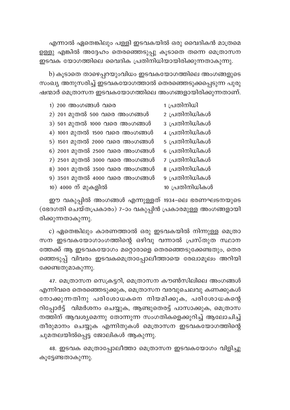എന്നാൽ ഏതെങ്കിലും പള്ളി ഇടവകയിൽ ഒരു വൈദികൻ മാത്രമെ ഉള്ളു എങ്കിൽ അദ്ദേഹം തെരഞ്ഞെടുപ്പു കൂടാതെ തന്നെ മെത്രാസന ഇടവക യോഗത്തിലെ വൈദിക പ്രതിനിധിയായിരിക്കുന്നതാകുന്നു.

b) കൂടാതെ താഴെപ്പറയുംവിധം ഇടവകയോഗത്തിലെ അംഗങ്ങളുടെ സംഖ്യ അനുസരിച്ച് ഇടവകയോഗത്താൽ തെരഞ്ഞെടുക്കപ്പെടുന്ന പുരു ഷന്മാർ മെത്രാസന ഇടവകയോഗത്തിലെ അംഗങ്ങളായിരിക്കുന്നതാണ്.

| $1)$ 200 അംഗങ്ങൾ വരെ          | 1 പ്രതിനിധി    |
|-------------------------------|----------------|
| 2) 201 മുതൽ 500 വരെ അംഗങ്ങൾ   | 2 പ്രതിനിധികൾ  |
| 3) 501 മുതൽ 1000 വരെ അംഗങ്ങൾ  | 3 പ്രതിനിധികൾ  |
| 4) 1001 മുതൽ 1500 വരെ അംഗങ്ങൾ | 4 പ്രതിനിധികൾ  |
| 5) 1501 മുതൽ 2000 വരെ അംഗങ്ങൾ | 5 പ്രതിനിധികൾ  |
| 6) 2001 മുതൽ 2500 വരെ അംഗങ്ങൾ | 6 പ്രതിനിധികൾ  |
| 7) 2501 മുതൽ 3000 വരെ അംഗങ്ങൾ | 7 പ്രതിനിധികൾ  |
| 8) 3001 മുതൽ 3500 വരെ അംഗങ്ങൾ | 8 പ്രതിനിധികൾ  |
| 9) 3501 മുതൽ 4000 വരെ അംഗങ്ങൾ | 9 പ്രതിനിധികൾ  |
| 10) 4000 ന് മുകളിൽ            | 10 പ്രതിനിധികൾ |

ഈ വകുപ്പിൽ അംഗങ്ങൾ എന്നുള്ളത് 1934-ലെ ഭരണഘടനയുടെ (ഭേദഗതി ചെയ്തപ്രകാരം) 7-ാം വകുപ്പിൻ പ്രകാരമുള്ള അംഗങ്ങളായി രിക്കുന്നതാകുന്നു.

c) ഏതെങ്കിലും കാരണത്താൽ ഒരു ഇടവകയിൽ നിന്നുള്ള മെത്രാ സന ഇടവകയോഗാംഗത്തിന്റെ ഒഴിവു വന്നാൽ പ്രസ്തുത സ്ഥാന ത്തേക്ക് ആ ഇടവകയോഗം മറ്റൊരാളെ തെരഞ്ഞെടുക്കേണ്ടതും, തെര ഞ്ഞെടുപ്പ് വിവരം ഇടവകമെത്രാപ്പോലീത്തായെ രേഖാമൂലം അറിയി ക്കേണ്ടതുമാകുന്നു.

47. മെത്രാസന സെക്രട്ടറി, മെത്രാസന കൗൺസിലിലെ അംഗങ്ങൾ എന്നിവരെ തെരഞ്ഞെടുക്കുക, മെത്രാസന വരവുചെലവു കണക്കുകൾ നോക്കുന്നതിനു പരിശോധകനെ നിയമിക്കുക, പരിശോധകന്റെ .<br>റിപ്പോർട്ട് വിമർശനം ചെയ്യുക, ആണ്ടുതെരട്ട് പാസാക്കുക, മെത്രാസ നത്തിന് ആവശ്യമെന്നു തോന്നുന്ന സംഗതികളെക്കുറിച്ച് ആലോചിച്ച് തീരുമാനം ചെയ്യുക എന്നിതുകൾ മെത്രാസന ഇടവകയോഗത്തിന്റെ ചുമതലയിൽപ്പെട്ട ജോലികൾ ആകുന്നു.

48. ഇടവക മെത്രാപ്പോലീത്താ മെത്രാസന ഇടവകയോഗം വിളിച്ചു കൂട്ടേണ്ടതാകുന്നു.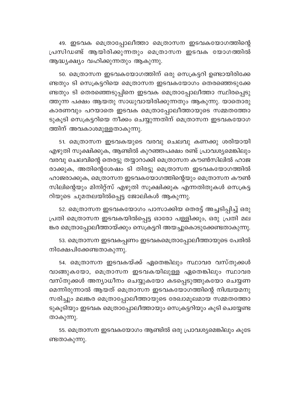49. ഇടവക മെത്രാപ്പോലീത്താ മെത്രാസന ഇടവകയോഗത്തിന്റെ പ്രസിഡണ്ട് ആയിരിക്കുന്നതും മെത്രാസന ഇടവക യോഗത്തിൽ ആദ്ധ്യക്ഷ്യം വഹിക്കുന്നതും ആകുന്നു.

50. മെത്രാസന ഇടവകയോഗത്തിന് ഒരു സെക്രട്ടറി ഉണ്ടായിരിക്കേ ണ്ടതും ടി സെക്രട്ടറിയെ മെത്രാസന ഇടവകയോഗം തെരഞ്ഞെടുക്കേ ണ്ടതും ടി തെരഞ്ഞെടുപ്പിനെ ഇടവക മെത്രാപ്പോലീത്താ സ്ഥിരപ്പെടു ത്തുന്ന പക്ഷം ആയതു സാധുവായിരിക്കുന്നതും ആകുന്നു. യാതൊരു കാരണവും പറയാതെ ഇടവക മെത്രാപ്പോലീത്തായുടെ സമ്മതത്തോ ടുകൂടി സെക്രട്ടറിയെ നീക്കം ചെയ്യുന്നതിന് മെത്രാസന ഇടവകയോഗ ത്തിന് അവകാശമുള്ളതാകുന്നു.

51. മെത്രാസന ഇടവകയുടെ വരവു ചെലവു കണക്കു ശരിയായി എഴുതി സൂക്ഷിക്കുക, ആണ്ടിൽ കുറഞ്ഞപക്ഷം രണ്ട് പ്രാവശ്യമെങ്കിലും വരവു ചെലവിന്റെ തെരട്ടു തയ്യാറാക്കി മെത്രാസന കൗൺസിലിൽ ഹാജ രാക്കുക, അതിന്റെശേഷം ടി തിരട്ടു മെത്രാസന ഇടവകയോഗത്തിൽ ഹാജരാക്കുക, മെത്രാസന ഇടവകയോഗത്തിന്റെയും മെത്രാസന കൗൺ സിലിന്റെയും മിനിറ്റ്സ് എഴുതി സൂക്ഷിക്കുക എന്നതിതുകൾ സെക്രട്ട റിയുടെ ചുമതലയിൽപ്പെട്ട ജോലികൾ ആകുന്നു.

52. മെത്രാസന ഇടവകയോഗം പാസാക്കിയ തെരട്ട് അച്ചടിപ്പിച്ച് ഒരു പ്രതി മെത്രാസന ഇടവകയിൽപ്പെട്ട ഓരോ പള്ളിക്കും, ഒരു പ്രതി മല ങ്കര മെത്രാപ്പോലീത്തായ്ക്കും സെക്രട്ടറി അയച്ചുകൊടുക്കേണ്ടതാകുന്നു.

53. മെത്രാസന ഇടവകപ്പണം ഇടവകമെത്രാപ്പോലീത്തായുടെ പേരിൽ നിക്ഷേപിക്കേണ്ടതാകുന്നു.

54. മെത്രാസന ഇടവകയ്ക്ക് ഏതെങ്കിലും സ്ഥാവര വസ്തുക്കൾ വാങ്ങുകയോ, മെത്രാസന ഇടവകയിലുള്ള ഏതെങ്കിലും സ്ഥാവര വസ്തുക്കൾ അന്യാധീനം ചെയ്യുകയോ കടപ്പെടുത്തുകയോ ചെയ്യണ മെന്നിരുന്നാൽ ആയത് മെത്രാസന ഇടവകയോഗത്തിന്റെ നിശ്ചയമനു സരിച്ചും മലങ്കര മെത്രാപ്പോലീത്തായുടെ രേഖാമൂലമായ സമ്മതത്തോ ടുകൂടിയും ഇടവക മെത്രാപ്പോലീത്തായും സെക്രട്ടറിയും കൂടി ചെയ്യേണ്ട താകുന്നു.

55. മെത്രാസന ഇടവകയോഗം ആണ്ടിൽ ഒരു പ്രാവശ്യമെങ്കിലും കൂടേ ണ്ടതാകുന്നു.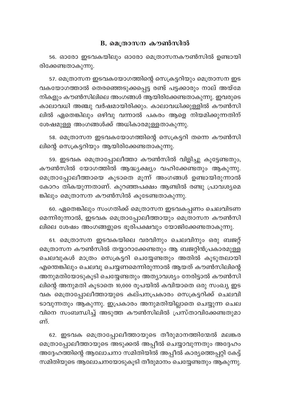#### B. മെത്രാസന കൗൺസിൽ

56. ഓരോ ഇടവകയിലും ഓരോ മെത്രാസനകൗൺസിൽ ഉണ്ടായി രിക്കേണ്ടതാകുന്നു.

57. മെത്രാസന ഇടവകയോഗത്തിന്റെ സെക്രട്ടറിയും മെത്രാസന ഇട വകയോഗത്താൽ തെരഞ്ഞെടുക്കപ്പെട്ട രണ്ട് പട്ടക്കാരും നാല് അയ്മേ നികളും കൗൺസിലിലെ അംഗങ്ങൾ ആയിരിക്കേണ്ടതാകുന്നു. ഇവരുടെ കാലാവധി അഞ്ചു വർഷമായിരിക്കും. കാലാവധിക്കുള്ളിൽ കൗൺസി ലിൽ ഏതെങ്കിലും ഒഴിവു വന്നാൽ പകരം ആളെ നിയമിക്കുന്നതിന് ശേഷമുള്ള അംഗങ്ങൾക്ക് അധികാരമുള്ളതാകുന്നു.

58. മെത്രാസന ഇടവകയോഗത്തിന്റെ സെക്രട്ടറി തന്നെ കൗൺസി ലിന്റെ സെക്രട്ടറിയും ആയിരിക്കേണ്ടതാകുന്നു.

59. ഇടവക മെത്രാപ്പോലീത്താ കൗൺസിൽ വിളിച്ചു കൂട്ടേണ്ടതും, കൗൺസിൽ യോഗത്തിൽ ആദ്ധ്യക്ഷ്യം വഹിക്കേണ്ടതും ആകുന്നു. മെത്രാപ്പോലീത്തായെ കൂടാതെ മൂന്ന് അംഗങ്ങൾ ഉണ്ടായിരുന്നാൽ കോറം തികയുന്നതാണ്. കുറഞ്ഞപക്ഷം ആണ്ടിൽ രണ്ടു പ്രാവശ്യമെ ങ്കിലും മെത്രാസന കൗൺസിൽ കുടേണ്ടതാകുന്നു.

60. ഏതെങ്കിലും സംഗതിക്ക് മെത്രാസന ഇടവകപ്പണം ചെലവിടണ മെന്നിരുന്നാൽ, ഇടവക മെത്രാപ്പോലീത്തായും മെത്രാസന കൗൺസി ലിലെ ശേഷം അംഗങ്ങളുടെ ഭൂരിപക്ഷവും യോജിക്കേണ്ടതാകുന്നു.

61. മെത്രാസന ഇടവകയിലെ വരവിനും ചെലവിനും ഒരു ബജറ്റ് മെത്രാസന കൗൺസിൽ തയ്യാറാക്കേണ്ടതും ആ ബജറ്റിൻപ്രകാരമുള്ള ചെലവുകൾ മാത്രം സെക്രട്ടറി ചെയ്യേണ്ടതും അതിൽ കൂടുതലായി എന്തെങ്കിലും ചെലവു ചെയ്യണമെന്നിരുന്നാൽ ആയത് കൗൺസിലിന്റെ അനുമതിയോടുകൂടി ചെയ്യേണ്ടതും അത്യാവശ്യം നേരിട്ടാൽ കൗൺസി ലിന്റെ അനുമതി കൂടാതെ 10,000 രൂപയിൽ കവിയാതെ ഒരു സംഖ്യ ഇട വക മെത്രാപ്പോലീത്തായുടെ കല്പനപ്രകാരം സെക്രട്ടറിക്ക് ചെലവി ടാവുന്നതും ആകുന്നു. ഇപ്രകാരം അനുമതിയില്ലാതെ ചെയ്യുന്ന ചെല വിനെ സംബന്ധിച്ച് അടുത്ത കൗൺസിലിൽ പ്രസ്താവിക്കേണ്ടതുമാ ണ്.

62. ഇടവക മെത്രാപ്പോലീത്തായുടെ തീരുമാനത്തിന്മേൽ മലങ്കര മെത്രാപ്പോലീത്തായുടെ അടുക്കൽ അപ്പീൽ ചെയ്യാവുന്നതും അദ്ദേഹം അദ്ദേഹത്തിന്റെ ആലോചനാ സമിതിയിൽ അപ്പീൽ കാര്യത്തെപ്പറ്റി കേട്ട് സമിതിയുടെ ആലോചനയോടുകൂടി തീരുമാനം ചെയ്യേണ്ടതും ആകുന്നു.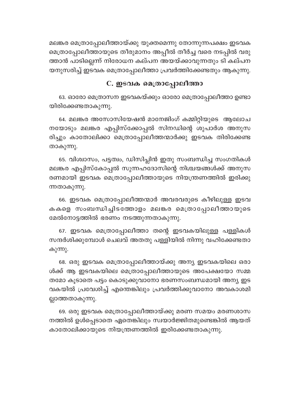മലങ്കര മെത്രാപ്പോലീത്തായ്ക്കു യുക്തമെന്നു തോന്നുന്നപക്ഷം ഇടവക മെത്രാപ്പോലീത്തായുടെ തീരുമാനം അപ്പീൽ തീർച്ച വരെ നടപ്പിൽ വരു ത്താൻ പാടില്ലെന്ന് നിരോധന കല്പന അയയ്ക്കാവുന്നതും ടി കല്പന യനുസരിച്ച് ഇടവക മെത്രാപ്പോലീത്താ പ്രവർത്തിക്കേണ്ടതും ആകുന്നു.

## C. ഇടവക മെത്രാപ്പോലീത്താ

63. ഓരോ മെത്രാസന ഇടവകയ്ക്കും ഓരോ മെത്രാപ്പോലീത്താ ഉണ്ടാ യിരിക്കേണ്ടതാകുന്നു.

64. മലങ്കര അസോസിയേഷൻ മാനേജിംഗ് കമ്മിറ്റിയുടെ ആലോച നയോടും മലങ്കര എപ്പിസ്ക്കോപ്പൽ സിനഡിന്റെ ശുപാർശ അനുസ രിച്ചും കാതോലിക്കാ മെത്രാപ്പോലീത്തന്മാർക്കു ഇടവക തിരിക്കേണ്ട താകുന്നു.

65. വിശ്വാസം, പട്ടത്വം, ഡിസിപ്ലിൻ ഇതു സംബന്ധിച്ച സംഗതികൾ മലങ്കര എപ്പിസ്കോപ്പൽ സുന്നഹദോസിന്റെ നിശ്ചയങ്ങൾക്ക് അനുസ രണമായി ഇടവക മെത്രാപ്പോലീത്തായുടെ നിയന്ത്രണത്തിൽ ഇരിക്കു ന്നതാകുന്നു.

66. ഇടവക മെത്രാപ്പോലീത്തന്മാർ അവരവരുടെ കീഴിലുള്ള ഇടവ കകളെ സംബന്ധിച്ചിടത്തോളം മലങ്കര മെത്രാപ്പോലീത്തായുടെ മേൽനോട്ടത്തിൽ ഭരണം നടത്തുന്നതാകുന്നു.

67. ഇടവക മെത്രാപ്പോലീത്താ തന്റെ ഇടവകയിലുള്ള പള്ളികൾ സന്ദർശിക്കുമ്പോൾ ചെലവ് അതതു പള്ളിയിൽ നിന്നു വഹിക്കേണ്ടതാ കുന്നു.

68. ഒരു ഇടവക മെത്രാപ്പോലീത്തായ്ക്കു അന്യ ഇടവകയിലെ ഒരാ ൾക്ക് ആ ഇടവകയിലെ മെത്രാപ്പോലീത്തായുടെ അപേക്ഷയോ സമ്മ തമോ കൂടാതെ പട്ടം കൊടുക്കുവാനോ ഭരണസംബന്ധമായി അന്യ ഇട വകയിൽ പ്രവേശിച്ച് എന്തെങ്കിലും പ്രവർത്തിക്കുവാനോ അവകാശമി ല്ലാത്തതാകുന്നു.

69. ഒരു ഇടവക മെത്രാപ്പോലീത്തായ്ക്കു മരണ സമയം മരണശാസ നത്തിൽ ഉൾപ്പെടാതെ ഏതെങ്കിലും സ്വയാർജ്ജിതമുണ്ടെങ്കിൽ ആയത് കാതോലിക്കായുടെ നിയന്ത്രണത്തിൽ ഇരിക്കേണ്ടതാകുന്നു.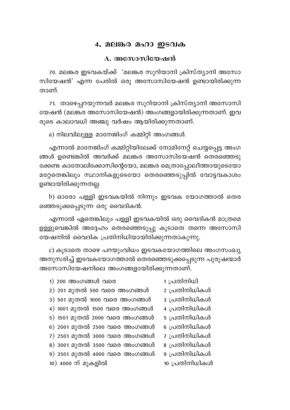#### 4, മലങ്കര മഹാ ഇടവക

#### A. അസോസിയേഷൻ

70. മലങ്കര ഇടവകയ്ക്ക് 'മലങ്കര സുറിയാനി ക്രിസ്ത്യാനി അസോ സിയേഷൻ' എന്ന പേരിൽ ഒരു അസോസിയേഷൻ ഉണ്ടായിരിക്കുന്ന താണ്

71. താഴെപ്പറയുന്നവർ മലങ്കര സുറിയാനി ക്രിസ്ത്യാനി അസോസി യേഷൻ (മലങ്കര അസോസിയേഷൻ) അംഗങ്ങളായിരിക്കുന്നതാണ്. ഇവ രുടെ കാലാവധി അഞ്ചു വർഷം ആയിരിക്കുന്നതാണ്.

a) നിലവിലുള്ള മാനേജിംഗ് കമ്മിറ്റി അംഗങ്ങൾ.

എന്നാൽ മാനേജിംഗ് കമ്മിറ്റിയിലേക്ക് നോമിനേറ്റ് ചെയ്യപ്പെട്ട അംഗ ങ്ങൾ ഉണ്ടെങ്കിൽ അവർക്ക് മലങ്കര അസോസിയേഷൻ തെരഞ്ഞെടു ക്കേണ്ട കാതോലിക്കോസിന്റെയോ, മലങ്കര മെത്രാപ്പോലീത്തായുടെയോ മറ്റേതെങ്കിലും സ്ഥാനികളുടെയോ തെരഞ്ഞെടുപ്പിൽ വോട്ടവകാശം ഉണ്ടായിരിക്കുന്നതല്ല.

b) ഓരോ പള്ളി ഇടവകയിൽ നിന്നും ഇടവക യോഗത്താൽ തെര ഞ്ഞെടുക്കപ്പെടുന്ന ഒരു വൈദികൻ.

എന്നാൽ ഏതെങ്കിലും പള്ളി ഇടവകയിൽ ഒരു വൈദികൻ മാത്രമെ ഉള്ളുവെങ്കിൽ അദ്ദേഹം തെരഞ്ഞെടുപ്പു കൂടാതെ തന്നെ അസോസി യേഷനിൽ വൈദിക പ്രതിനിധിയായിരിക്കുന്നതാകുന്നു.

c) കൂടാതെ താഴെ പറയുംവിധം ഇടവകയോഗത്തിലെ അംഗസംഖ്യ അനുസരിച്ച് ഇടവകയോഗത്താൽ തെരഞ്ഞെടുക്കപ്പെടുന്ന പുരുഷന്മാർ അസോസിയേഷനിലെ അംഗങ്ങളായിരിക്കുന്നതാണ്.

| 1) 200 അംഗങ്ങൾ വരെ            | 1 പ്രതിനിധി    |
|-------------------------------|----------------|
| 2) 201 മുതൽ 500 വരെ അംഗങ്ങൾ   | 2 പ്രതിനിധികൾ  |
| 3) 501 മുതൽ 1000 വരെ അംഗങ്ങൾ  | 3 പ്രതിനിധികൾ  |
| 4) 1001 മുതൽ 1500 വരെ അംഗങ്ങൾ | 4 പ്രതിനിധികൾ  |
| 5) 1501 മുതൽ 2000 വരെ അംഗങ്ങൾ | 5 പ്രതിനിധികൾ  |
| 6) 2001 മുതൽ 2500 വരെ അംഗങ്ങൾ | 6 പ്രതിനിധികൾ  |
| 7) 2501 മുതൽ 3000 വരെ അംഗങ്ങൾ | 7 പ്രതിനിധികൾ  |
| 8) 3001 മുതൽ 3500 വരെ അംഗങ്ങൾ | 8 പ്രതിനിധികൾ  |
| 9) 3501 മുതൽ 4000 വരെ അംഗങ്ങൾ | 9 പ്രതിനിധികൾ  |
| 10) 4000 ന് മുകളിൽ            | 10 പ്രതിനിധികൾ |
|                               |                |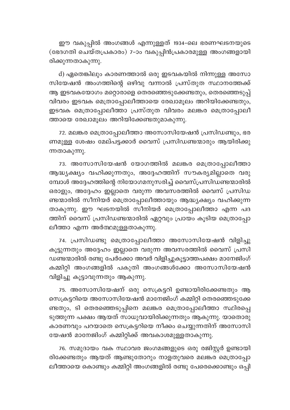ഈ വകുപ്പിൽ അംഗങ്ങൾ എന്നുള്ളത് 1934-ലെ ഭരണഘടനയുടെ (ഭേദഗതി ചെയ്തപ്രകാരം) 7-ാം വകുപ്പിൻപ്രകാരമുള്ള അംഗങ്ങളായി രിക്കുന്നതാകുന്നു.

d) ഏതെങ്കിലും കാരണത്താൽ ഒരു ഇടവകയിൽ നിന്നുള്ള അസോ സിയേഷൻ അംഗത്തിന്റെ ഒഴിവു വന്നാൽ പ്രസ്തുത സ്ഥാനത്തേക്ക് ആ ഇടവകയോഗം മറ്റൊരാളെ തെരഞ്ഞെടുക്കേണ്ടതും, തെരഞ്ഞെടുപ്പ് വിവരം ഇടവക മെത്രാപ്പോലീത്തായെ രേഖാമൂലം അറിയിക്കേണ്ടതും, ഇടവക മെത്രാപ്പോലീത്താ പ്രസ്തുത വിവരം മലങ്കര മെത്രാപ്പോലീ ത്തായെ രേഖാമൂലം അറിയിക്കേണ്ടതുമാകുന്നു.

72. മലങ്കര മെത്രാപ്പോലീത്താ അസോസിയേഷൻ പ്രസിഡണ്ടും, ഭര ണമുള്ള ശേഷം മേല്പട്ടക്കാർ വൈസ് പ്രസിഡണ്ടന്മാരും ആയിരിക്കു ന്നതാകുന്നു.

73. അസോസിയേഷൻ യോഗത്തിൽ മലങ്കര മെത്രാപ്പോലീത്താ ആദ്ധ്യക്ഷ്യം വഹിക്കുന്നതും, അദ്ദേഹത്തിന് സൗകര്യമില്ലാതെ വരു മ്പോൾ അദ്ദേഹത്തിന്റെ നിയോഗമനുസരിച്ച് വൈസ്പ്രസിഡണ്ടന്മാരിൽ ഒരാളും, അദ്ദേഹം ഇല്ലാതെ വരുന്ന അവസരത്തിൽ വൈസ് പ്രസിഡ ണ്ടന്മാരിൽ സീനിയർ മെത്രാപ്പോലീത്തായും ആദ്ധ്യക്ഷ്യം വഹിക്കുന്ന താകുന്നു. ഈ ഘടനയിൽ സീനിയർ മെത്രാപ്പോലീത്താ എന്ന പദ ത്തിന് വൈസ് പ്രസിഡണ്ടന്മാരിൽ ഏറ്റവും പ്രായം കൂടിയ മെത്രാപ്പോ ലീത്താ എന്ന അർത്ഥമുള്ളതാകുന്നു.

74. പ്രസിഡണ്ടു മെത്രാപ്പോലീത്താ അസോസിയേഷൻ വിളിച്ചു കൂട്ടുന്നതും അദ്ദേഹം ഇല്ലാതെ വരുന്ന അവസരത്തിൽ വൈസ് പ്രസി ഡണ്ടന്മാരിൽ രണ്ടു പേർക്കോ അവർ വിളിച്ചുകൂട്ടാത്തപക്ഷം മാനേജിംഗ് കമ്മിറ്റി അംഗങ്ങളിൽ പകുതി അംഗങ്ങൾക്കോ അസോസിയേഷൻ വിളിച്ചു കൂട്ടാവുന്നതും ആകുന്നു.

75. അസോസിയേഷന് ഒരു സെക്രട്ടറി ഉണ്ടായിരിക്കേണ്ടതും ആ സെക്രട്ടറിയെ അസോസിയേഷൻ മാനേജിംഗ് കമ്മിറ്റി തെരഞ്ഞെടുക്കേ ണ്ടതും, ടി തെരഞ്ഞെടുപ്പിനെ മലങ്കര മെത്രാപ്പോലീത്താ സ്ഥിരപ്പെ ടുത്തുന്ന പക്ഷം ആയത് സാധുവായിരിക്കുന്നതും ആകുന്നു. യാതൊരു കാരണവും പറയാതെ സെക്രട്ടറിയെ നീക്കം ചെയ്യുന്നതിന് അസോസി യേഷൻ മാനേജിംഗ് കമ്മിറ്റിക്ക് അവകാശമുള്ളതാകുന്നു.

76. സമുദായം വക സ്ഥാവര ജംഗമങ്ങളുടെ ഒരു രജിസ്റ്റർ ഉണ്ടായി രിക്കേണ്ടതും ആയത് ആണ്ടുതോറും നാളതുവരെ മലങ്കര മെത്രാപ്പോ ലീത്തായെ കൊണ്ടും കമ്മിറ്റി അംഗങ്ങളിൽ രണ്ടു പേരെക്കൊണ്ടും ഒപ്പി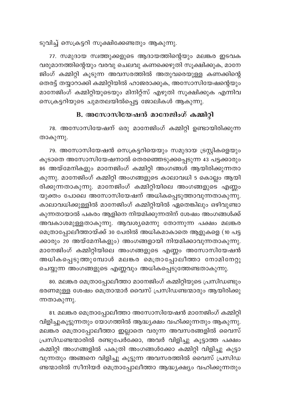ടുവിച്ച് സെക്രട്ടറി സുക്ഷിക്കേണ്ടതും ആകുന്നു.

77. സമുദായ സ്വത്തുക്കളുടെ ആദായത്തിന്റെയും മലങ്കര ഇടവക വരുമാനത്തിന്റെയും വരവു ചെലവു കണക്കെഴുതി സൂക്ഷിക്കുക, മാനേ .<br>ജിംഗ് കമ്മിറ്റി കൂടുന്ന അവസരത്തിൽ അതുവരെയുള്ള കണക്കിന്റെ തെരട്ട് തയ്യാറാക്കി കമ്മിറ്റിയിൽ ഹാജരാക്കുക, അസോസിയേഷന്റെയും മാനേജിംഗ് കമ്മിറ്റിയുടെയും മിനിറ്റ്സ് എഴുതി സൂക്ഷിക്കുക എന്നിവ സെക്രട്ടറിയുടെ ചുമതലയിൽപ്പെട്ട ജോലികൾ ആകുന്നു.

## B. അസോസിയേഷൻ മാനേജിംഗ് കമ്മിറ്റി

78. അസോസിയേഷന് ഒരു മാനേജിംഗ് കമ്മിറ്റി ഉണ്ടായിരിക്കുന്ന താകുന്നു.

79. അസോസിയേഷൻ സെക്രട്ടറിയെയും സമുദായ ട്രസ്റ്റികളെയും കൂടാതെ അസോസിയേഷനാൽ തെരഞ്ഞെടുക്കപ്പെടുന്ന 43 പട്ടക്കാരു<mark>ം</mark> 86 അയ്മേനികളും മാനേജിംഗ് കമ്മിറ്റി അംഗങ്ങൾ ആയിരിക്കുന്നതാ കുന്നു. മാനേജിംഗ് കമ്മിറ്റി അംഗങ്ങളുടെ കാലാവധി 5 കൊല്ലം ആയി രിക്കുന്നതാകുന്നു. മാനേജിംഗ് കമ്മിറ്റിയിലെ അംഗങ്ങളുടെ എണ്ണം യുക്തം പോലെ അസോസിയേഷന് അധികപ്പെടുത്താവുന്നതാകുന്നു. കാലാവധിക്കുള്ളിൽ മാനേജിംഗ് കമ്മിറ്റിയിൽ ഏതെങ്കിലും ഒഴിവുണ്ടാ കുന്നതായാൽ പകരം ആളിനെ നിയമിക്കുന്നതിന് ശേഷം അംഗങ്ങൾക്ക് അവകാശമുള്ളതാകുന്നു. ആവശ്യമെന്നു തോന്നുന്ന പക്ഷം മലങ്കര മെത്രാപ്പോലീത്തായ്ക്ക് 30 പേരിൽ അധികമാകാതെ ആളുകളെ (10 പട്ട ക്കാരും 20 അയ്മേനികളും) അംഗങ്ങളായി നിയമിക്കാവുന്നതാകുന്നു. മാനേജിംഗ് കമ്മിറ്റിയിലെ അംഗങ്ങളുടെ എണ്ണം അസോസിയേഷൻ അധികപ്പെടുത്തുമ്പോൾ മലങ്കര മെത്രാപ്പോലീത്താ നോമിനേറ്റു ചെയ്യുന്ന അംഗങ്ങളുടെ എണ്ണവും അധികപ്പെടുത്തേണ്ടതാകുന്നു.

80. മലങ്കര മെത്രാപ്പോലീത്താ മാനേജിംഗ് കമ്മിറ്റിയുടെ പ്രസിഡണ്ടും ഭരണമുള്ള ശേഷം മെത്രാന്മാർ വൈസ് പ്രസിഡണ്ടന്മാരും ആയിരിക്കു ന്നതാകുന്നു.

81. മലങ്കര മെത്രാപ്പോലീത്താ അസോസിയേഷൻ മാനേജിംഗ് കമ്മിറ്റി വിളിച്ചുകൂട്ടുന്നതും യോഗത്തിൽ ആദ്ധ്യക്ഷം വഹിക്കുന്നതും ആകുന്നു. മലങ്കര മെത്രാപ്പോലീത്താ ഇല്ലാതെ വരുന്ന അവസരങ്ങളിൽ വൈസ് പ്രസിഡണ്ടന്മാരിൽ രണ്ടുപേർക്കോ, അവർ വിളിച്ചു കൂട്ടാത്ത പക്ഷം കമ്മിറ്റി അംഗങ്ങളിൽ പകുതി അംഗങ്ങൾക്കോ കമ്മിറ്റി വിളിച്ചു കൂട്ടാ വുന്നതും അങ്ങനെ വിളിച്ചു കൂട്ടുന്ന അവസരത്തിൽ വൈസ് പ്രസിഡ ണ്ടന്മാരിൽ സീനിയർ മെത്രാപ്പോലീത്താ ആദ്ധ്യക്ഷ്യം വഹിക്കുന്നതും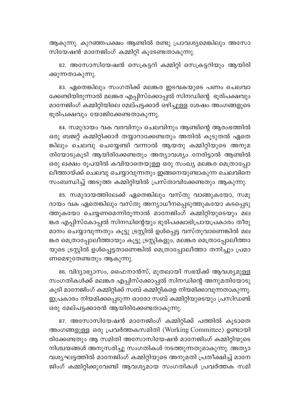ആകുന്നു. കുറഞ്ഞപക്ഷം ആണ്ടിൽ രണ്ടു പ്രാവശ്യമെങ്കിലും അസോ സിയേഷൻ മാനേജിംഗ് കമ്മിറ്റി കൂടേണ്ടതാകുന്നു.

82. അസോസിയേഷൻ സെക്രട്ടറി കമ്മിറ്റി സെക്രട്ടറിയും ആയിരി ക്കുന്നതാകുന്നു.

83. ഏതെങ്കിലും സംഗതിക്ക് മലങ്കര ഇടവകയുടെ പണം ചെലവാ ക്കേണ്ടിയിരുന്നാൽ മലങ്കര എപ്പിസ്ക്കോപ്പൽ സിനഡിന്റെ ഭൂരിപക്ഷവും മാനേജിംഗ് കമ്മിറ്റിയിലെ മേല്പട്ടക്കാർ ഒഴിച്ചുള്ള ശേഷം അംഗങ്ങളുടെ ഭൂരിപക്ഷവും യോജിക്കേണ്ടതാകുന്നു.

84. സമുദായം വക വരവിനും ചെലവിനും ആണ്ടിന്റെ ആരംഭത്തിൽ ഒരു ബജറ്റ് കമ്മിറ്റിക്കാർ തയ്യാറാക്കേണ്ടതും അതിൽ കൂടുതൽ ഏതെ ങ്കിലും ചെലവു ചെയ്യേണ്ടി വന്നാൽ ആയതു കമ്മിറ്റിയുടെ അനുമ തിയോടുകൂടി ആയിരിക്കേണ്ടതും അത്യാവശ്യം നേരിട്ടാൽ ആണ്ടിൽ ഒരു ലക്ഷം രൂപയിൽ കവിയാതെയുള്ള ഒരു സംഖ്യ മലങ്കര മെത്രാപ്പോ ലീത്തായ്ക്ക് ചെലവു ചെയ്യാവുന്നതും ഇങ്ങനെയുണ്ടാകുന്ന ചെലവിനെ സംബന്ധിച്ച് അടുത്ത കമ്മിറ്റിയിൽ പ്രസ്താവിക്കേണ്ടതും ആകുന്നു.

85. സമുദായത്തിലേക്ക് ഏതെങ്കിലും വസ്തു വാങ്ങുകയോ, സമു ദായം വക ഏതെങ്കിലും വസ്തു അന്യാധീനപ്പെടുത്തുകയോ കടപ്പെടു ത്തുകയോ ചെയ്യണമെന്നിരുന്നാൽ മാനേജിംഗ് കമ്മിറ്റിയുടെയും മല ങ്കര എപ്പിസ്കോപ്പൽ സിനഡിന്റെയും ഭൂരിപക്ഷാഭിപ്രായപ്രകാരം തീരു മാനം ചെയ്യാവുന്നതും കൂട്ടു ട്രസ്റ്റിൽ ഉൾപ്പെട്ട വസ്തുവാണെങ്കിൽ മല ങ്കര മെത്രാപ്പോലീത്തായും കൂട്ടു ട്രസ്റ്റികളും, മലങ്കര മെത്രാപ്പോലീത്താ യുടെ ട്രസ്റ്റിൽ ഉൾപ്പെട്ടതാണെങ്കിൽ മെത്രാപ്പോലീത്താ തനിച്ചും പ്രമാ ണമെഴുതേണ്ടതും ആകുന്നു.

86. വിദ്യാഭ്യാസം, ഫൈനാൻസ്, മുതലായി സഭയ്ക്ക് ആവശ്യമുള്ള സംഗതികൾക്ക് മലങ്കര എപ്പിസ്ക്കോപ്പൽ സിനഡിന്റെ അനുമതിയോടു കൂടി മാനേജിംഗ് കമ്മിറ്റിക്ക് സബ് കമ്മിറ്റികളെ നിയമിക്കാവുന്നതാകുന്നു. ഇപ്രകാരം നിയമിക്കപ്പെടുന്ന ഓരോ സബ് കമ്മിറ്റിയുടെയും പ്രസിഡണ്ട് ഒരു മേല്പട്ടക്കാരൻ ആയിരിക്കേണ്ടതാകുന്നു.

87. അസോസിയേഷൻ മാനേജിംഗ് കമ്മിറ്റിക്ക് പത്തിൽ കുടാതെ അംഗങ്ങളുള്ള ഒരു പ്രവർത്തകസമിതി (Working Committee) ഉണ്ടായി രിക്കേണ്ടതും ആ സമിതി അസോസിയേഷൻ മാനേജിംഗ് കമ്മിറ്റിയുടെ നിശ്ചയങ്ങൾ അനുസരിച്ചു സംഗതികൾ നടത്തുന്നതുമാകുന്നു. അത്യാ വശ്യഘട്ടത്തിൽ മാനേജിംഗ് കമ്മിറ്റിയുടെ അനുമതി പ്രതീക്ഷിച്ച് മാനേ ജിംഗ് കമ്മിറ്റിക്കുവേണ്ടി ആവശ്യമായ സംഗതികൾ പ്രവർത്തക സമി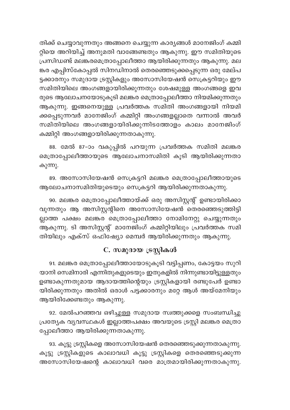തിക്ക് ചെയ്യാവുന്നതും അങ്ങനെ ചെയ്യുന്ന കാര്യങ്ങൾ മാനേജിംഗ് കമ്മി റ്റിയെ അറിയിച്ച് അനുമതി വാങ്ങേണ്ടതും ആകുന്നു. ഈ സമിതിയുടെ പ്രസിഡണ്ട് മലങ്കരമെത്രാപ്പോലീത്താ ആയിരിക്കുന്നതും ആകുന്നു. മല ങ്കര എപ്പിസ്കോപ്പൽ സിനഡിനാൽ തെരഞ്ഞെടുക്കപ്പെടുന്ന ഒരു മേല്പ ട്ടക്കാരനും സമുദായ ട്രസ്റ്റികളും അസോസിയേഷൻ സെക്രട്ടറിയും ഈ സമിതിയിലെ അംഗങ്ങളായിരിക്കുന്നതും ശേഷമുള്ള അംഗങ്ങളെ ഇവ രുടെ ആലോചനയോടുകൂടി മലങ്കര മെത്രാപ്പോലീത്താ നിയമിക്കുന്നതും ആകുന്നു. ഇങ്ങനെയുള്ള പ്രവർത്തക സമിതി അംഗങ്ങളായി നിയമി ക്കപ്പെടുന്നവർ മാനേജിംഗ് കമ്മിറ്റി അംഗങ്ങളല്ലാതെ വന്നാൽ അവർ സമിതിയിലെ അംഗങ്ങളായിരിക്കുന്നിടത്തോളം കാലം മാനേജിംഗ് കമ്മിറ്റി അംഗങ്ങളായിരിക്കുന്നതാകുന്നു.

88. മേൽ 87-ാം വകുപ്പിൽ പറയുന്ന പ്രവർത്തക സമിതി മലങ്കര മെത്രാപ്പോലീത്തായുടെ ആലോചനാസമിതി കൂടി ആയിരിക്കുന്നതാ കുന്നു.

89. അസോസിയേഷൻ സെക്രട്ടറി മലങ്കര മെത്രാപ്പോലീത്തായുടെ ആലോചനാസമിതിയുടെയും സെക്രട്ടറി ആയിരിക്കുന്നതാകുന്നു.

90. മലങ്കര മെത്രാപ്പോലീത്തായ്ക്ക് ഒരു അസിസ്റ്റന്റ് ഉണ്ടായിരിക്കാ വുന്നതും ആ അസിസ്റ്റന്റിനെ അസോസിയേഷൻ തെരഞ്ഞെടുത്തിട്ടി ല്ലാത്ത പക്ഷം മലങ്കര മെത്രാപ്പോലീത്താ നോമിനേറ്റു ചെയ്യുന്നതും ...<br>ആകുന്നു. ടി അസിസ്റ്റന്റ് മാനേജിംഗ് കമ്മിറ്റിയിലും പ്രവർത്തക സമി തിയിലും എക്സ് ഒഫിഷ്യോ മെമ്പർ ആയിരിക്കുന്നതും ആകുന്നു.

## C. സമുദായ ട്രസ്റ്റികൾ

91. മലങ്കര മെത്രാപ്പോലീത്തായോടുകൂടി വട്ടിപ്പണം, കോട്ടയം സുറി യാനി സെമിനാരി എന്നിതുകളുടെയും ഇതുകളിൽ നിന്നുണ്ടായിട്ടുള്ളതും ഉണ്ടാകുന്നതുമായ ആദായത്തിന്റെയും ട്രസ്റ്റികളായി രണ്ടുപേർ ഉണ്ടാ യിരിക്കുന്നതും അതിൽ ഒരാൾ പട്ടക്കാരനും മറ്റേ ആൾ അയ്മേനിയും ആയിരിക്കേണ്ടതും ആകുന്നു.

92. മേൽപറഞ്ഞവ ഒഴിച്ചുള്ള സമുദായ സ്വത്തുക്കളെ സംബന്ധിച്ചു പ്രത്യേക വൃവസ്ഥകൾ ഇല്ലാത്തപക്ഷം അവയുടെ ട്രസ്റ്റി മലങ്കര മെത്രാ പ്പോലീത്താ ആയിരിക്കുന്നതാകുന്നു.

93. കൂട്ടു ട്രസ്റ്റികളെ അസോസിയേഷൻ തെരഞ്ഞെടുക്കുന്നതാകുന്നു. കൂട്ടു ട്രസ്റ്റികളുടെ കാലാവധി കൂട്ടു ട്രസ്റ്റികളെ തെരഞ്ഞെടുക്കുന്ന അസോസിയേഷന്റെ കാലാവധി വരെ മാത്രമായിരിക്കുന്നതാകുന്നു.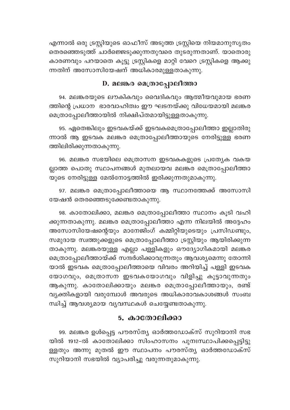എന്നാൽ ഒരു ട്രസ്റ്റിയുടെ ഓഫീസ് അടുത്ത ട്രസ്റ്റിയെ നിയമാനുസൃതം തെരഞ്ഞെടുത്ത് ചാർജ്ജെടുക്കുന്നതുവരെ തുടരുന്നതാണ്. യാതൊരു കാരണവും പറയാതെ കൂട്ടു ട്രസ്റ്റികളെ മാറ്റി വേറെ ട്രസ്റ്റികളെ ആക്കു ന്നതിന് അസോസിയേഷന് അധികാരമുള്ളതാകുന്നു.

#### D. മലങ്കര മെത്രാപോലീത്താ

94. മലങ്കരയുടെ ലൗകികവും വൈദികവും ആത്മീയവുമായ ഭരണ ത്തിന്റെ പ്രധാന ഭാരവാഹിത്വം ഈ ഘടനയ്ക്കു വിധേയമായി മലങ്കര .<br>മെത്രാപ്പോലീത്തായിൽ നിക്ഷിപ്തമായിട്ടുള്ളതാകുന്നു.

95. ഏതെങ്കിലും ഇടവകയ്ക്ക് ഇടവകമെത്രാപ്പോലീത്താ ഇല്ലാതിരു ന്നാൽ ആ ഇടവക മലങ്കര മെത്രാപ്പോലീത്തായുടെ നേരിട്ടുള്ള ഭരണ ത്തിലിരിക്കുന്നതാകുന്നു.

96. മലങ്കര സഭയിലെ മെത്രാസന ഇടവകകളുടെ പ്രത്യേക വകയ ല്ലാത്ത പൊതു സ്ഥാപനങ്ങൾ മുതലായവ മലങ്കര മെത്രാപ്പോലീത്താ യുടെ നേരിട്ടുള്ള മേൽനോട്ടത്തിൽ ഇരിക്കുന്നതുമാകുന്നു.

97. മലങ്കര മെത്രാപ്പോലീത്തായെ ആ സ്ഥാനത്തേക്ക് അസോസി യേഷൻ തെരഞ്ഞെടുക്കേണ്ടതാകുന്നു.

98. കാതോലിക്കാ, മലങ്കര മെത്രാപ്പോലീത്താ സ്ഥാനം കൂടി വഹി ക്കുന്നതാകുന്നു. മലങ്കര മെത്രാപ്പോലീത്താ എന്ന നിലയിൽ അദ്ദേഹം അസോസിയേഷന്റെയും മാനേജിംഗ് കമ്മിറ്റിയുടെയും പ്രസിഡണ്ടും, സമുദായ സ്വത്തുക്കളുടെ മെത്രാപ്പോലീത്താ ട്രസ്റ്റിയും ആയിരിക്കുന്ന താകുന്നു. മലങ്കരയുള്ള എല്ലാ പള്ളികളും ഔദ്യോഗികമായി മലങ്കര മെത്രാപ്പോലീത്തായ്ക്ക് സന്ദർശിക്കാവുന്നതും ആവശ്യമെന്നു തോന്നി യാൽ ഇടവക മെത്രാപ്പോലീത്തായെ വിവരം അറിയിച്ച് പള്ളി ഇടവക യോഗവും, മെത്രാസന ഇടവകയോഗവും വിളിച്ചു കൂട്ടാവുന്നതും ആകുന്നു. കാതോലിക്കായും മലങ്കര മെത്രാപ്പോലീത്തായും, രണ്ട് വ്യക്തികളായി വരുമ്പോൾ അവരുടെ അധികാരാവകാശങ്ങൾ സംബ ന്ധിച്ച് ആവശ്യമായ വ്യവസ്ഥകൾ ചെയ്യേണ്ടതാകുന്നു.

## 5. കാതോലിക്കാ

99. മലങ്കര ഉൾപ്പെട്ട പൗരസ്ത്യ ഓർത്തഡോക്സ് സുറിയാനി സഭ യിൽ 1912-ൽ കാതോലിക്കാ സിംഹാസനം പുനഃസ്ഥാപിക്കപ്പെട്ടിട്ടു ള്ളതും അന്നു മുതൽ ഈ സ്ഥാപനം പൗരസ്ത<mark>ൃ</mark> ഓർത്തഡോക്സ് സുറിയാനി സഭയിൽ വ്യാപരിച്ചു വരുന്നതുമാകുന്നു.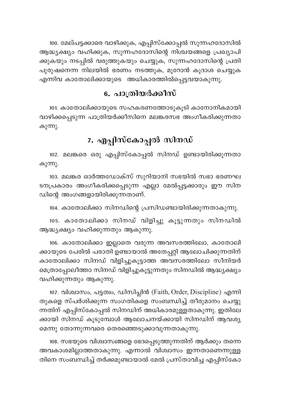100. മേല്പട്ടക്കാരെ വാഴിക്കുക, എപ്പിസ്ക്കോപ്പൽ സുന്നഹദോസിൽ ആദ്ധ്യക്ഷ്യം വഹിക്കുക, സുന്നഹദോസിന്റെ നിശ്ചയങ്ങളെ പ്രഖ്യാപി ക്കുകയും നടപ്പിൽ വരുത്തുകയും ചെയ്യുക, സുന്നഹദോസിന്റെ പ്രതി പുരുഷനെന്ന നിലയിൽ ഭരണം നടത്തുക, മൂറോൻ കൂദാശ ചെയ്യുക എന്നിവ കാതോലിക്കായുടെ അധികാരത്തിൽപ്പെട്ടവയാകുന്നു.

## 6. പാത്രിയർക്കീസ്

101. കാതോലിക്കായുടെ സഹകരണത്തോടുകൂടി കാനോനികമായി വാഴിക്കപ്പെടുന്ന പാത്രിയർക്കീസിനെ മലങ്കരസഭ അംഗീകരിക്കുന്നതാ കുന്നു.

## 7. എപ്പിസ്കോപ്പൽ സിനഡ്

102. മലങ്കരെ ഒരു എപ്പിസ്കോപ്പൽ സിനഡ് ഉണ്ടായിരിക്കുന്നതാ കുന്നു.

103. മലങ്കര ഓർത്തഡോക്സ് സുറിയാനി സഭയിൽ സഭാ ഭരണഘ ടനപ്രകാരം അംഗീകരിക്കപ്പെടുന്ന എല്ലാ മേൽപ്പട്ടക്കാരും ഈ സിന ഡിന്റെ അംഗങ്ങളായിരിക്കുന്നതാണ്.

104. കാതോലിക്കാ സിനഡിന്റെ പ്രസിഡണ്ടായിരിക്കുന്നതാകുന്നു.

105. കാതോലിക്കാ സിനഡ് വിളിച്ചു കൂട്ടുന്നതും സിനഡിൽ ആദ്ധ്യക്ഷ്യം വഹിക്കുന്നതും ആകുന്നു.

106. കാതോലിക്കാ ഇല്ലാതെ വരുന്ന അവസരത്തിലോ, കാതോലി ക്കായുടെ പേരിൽ പരാതി ഉണ്ടായാൽ അതേപ്പറ്റി ആലോചിക്കുന്നതിന് കാതോലിക്കാ സിനഡ് വിളിച്ചുകൂട്ടാത്ത അവസരത്തിലോ സീനിയർ മെത്രാപ്പോലീത്താ സിനഡ് വിളിച്ചുകൂട്ടുന്നതും സിനഡിൽ ആദ്ധ്യക്ഷ്യം വഹിക്കുന്നതും ആകുന്നു.

107. വിശ്വാസം, പട്ടത്വം, ഡിസിപ്ലിൻ (Faith, Order, Discipline) എന്നി തുകളെ സ്പർശിക്കുന്ന സംഗതികളെ സംബന്ധിച്ച് തീരുമാനം ചെയ്യു ന്നതിന് എപ്പിസ്കോപ്പൽ സിനഡിന് അധികാരമുള്ളതാകുന്നു. ഇതിലേ ക്കായി സിനഡ് കൂടുമ്പോൾ ആലോചനയ്ക്കായി സിനഡിന് ആവശ്യ മെന്നു തോന്നുന്നവരെ തെരഞ്ഞെടുക്കാവുന്നതാകുന്നു.

108. സഭയുടെ വിശ്വാസങ്ങളെ ഭേദപ്പെടുത്തുന്നതിന് ആർക്കും തന്നെ അവകാശമില്ലാത്തതാകുന്നു. എന്നാൽ വിശ്വാസം ഇന്നതാണെന്നുള്ള തിനെ സംബന്ധിച്ച് തർക്കമുണ്ടായാൽ മേൽ പ്രസ്താവിച്ച എപ്പിസ്കോ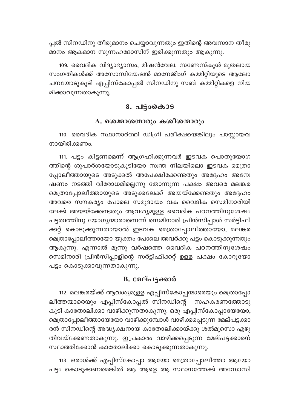പ്പൽ സിനഡിനു തീരുമാനം ചെയ്യാവുന്നതും ഇതിന്റെ അവസാന തീരു മാനം ആകമാന സുന്നഹദോസിന് ഇരിക്കുന്നതും ആകുന്നു.

109. വൈദിക വിദ്യാഭ്യാസം, മിഷൻവേല, സണ്ടേസ്കൂൾ മുതലായ സംഗതികൾക്ക് അസോസിയേഷൻ മാനേജിംഗ് കമ്മിറ്റിയുടെ ആലോ ചനയോടുകൂടി എപ്പിസ്കോപ്പൽ സിനഡിനു സബ് കമ്മിറ്റികളെ നിയ മിക്കാവുന്നതാകുന്നു.

#### 8. പട്ടാകൊട

#### A. ശെമ്മാശന്മാരും കശീശന്മാരും

110. വൈദിക സ്ഥാനാർത്ഥി ഡിഗ്രി പരീക്ഷയെങ്കിലും പാസ്സായവ നായിരിക്കണം

111. പട്ടം കിട്ടണമെന്ന് ആഗ്രഹിക്കുന്നവർ ഇടവക പൊതുയോഗ ത്തിന്റെ ശുപാർശയോടുകൂടിയോ സ്വന്ത നിലയിലൊ ഇടവക മെത്രാ പ്പോലീത്തായുടെ അടുക്കൽ അപേക്ഷിക്കേണ്ടതും അദ്ദേഹം അന്വേ ഷണം നടത്തി വിരോധമില്ലെന്നു തോന്നുന്ന പക്ഷം അവരെ മലങ്കര മെത്രാപ്പോലീത്തായുടെ അടുക്കലേക്ക് അയയ്ക്കേണ്ടതും അദ്ദേഹം അവരെ സൗകര്യം പോലെ സമുദായം വക വൈദിക സെമിനാരിയി ലേക്ക് അയയ്ക്കേണ്ടതും ആവശ്യമുള്ള വൈദിക പഠനത്തിനുശേഷം പട്ടത്വത്തിനു യോഗൃന്മാരാണെന്ന് സെമിനാരി പ്രിൻസിപ്പാൾ സർട്ടിഫി ക്കറ്റ് കൊടുക്കുന്നതായാൽ ഇടവക മെത്രാപ്പോലീത്തായോ, മലങ്കര മെത്രാപ്പോലീത്തായോ യുക്തം പോലെ അവർക്കു പട്ടം കൊടുക്കുന്നതും ആകുന്നു. എന്നാൽ മൂന്നു വർഷത്തെ വൈദിക പഠനത്തിനുശേഷം സെമിനാരി പ്രിൻസിപ്പാളിന്റെ സർട്ടിഫിക്കറ്റ് ഉള്ള പക്ഷം കോറൂയോ പട്ടം കൊടുക്കാവുന്നതാകുന്നു.

## B. മേല്പട്ടക്കാർ

112. മലങ്കരയ്ക്ക് ആവശ്യമുള്ള എപ്പിസ്കോപ്പന്മാരെയും മെത്രാപ്പോ ലീത്തന്മാരെയും എപ്പിസ്കോപ്പൽ സിനഡിന്റെ സഹകരണത്തോടു കൂടി കാതോലിക്കാ വാഴിക്കുന്നതാകുന്നു. ഒരു എപ്പിസ്കോപ്പായേയോ, മെത്രാപ്പോലീത്തായേയോ വാഴിക്കുമ്പോൾ വാഴിക്കപ്പെടുന്ന മേല്പട്ടക്കാ രൻ സിനഡിന്റെ അദ്ധ്യക്ഷനായ കാതോലിക്കായ്ക്കു ശൽമൂസൊ എഴു തിവയ്ക്കേണ്ടതാകുന്നു. ഇപ്രകാരം വാഴിക്കപ്പെടുന്ന മേല്പട്ടക്കാരന് സ്ഥാത്തിക്കോൻ കാതോലിക്കാ കൊടുക്കുന്നതാകുന്നു.

113. ഒരാൾക്ക് എപ്പിസ്കോപ്പാ ആയോ മെത്രാപ്പോലീത്താ ആയോ പട്ടം കൊടുക്കണമെങ്കിൽ ആ ആളെ ആ സ്ഥാനത്തേക്ക് അസോസി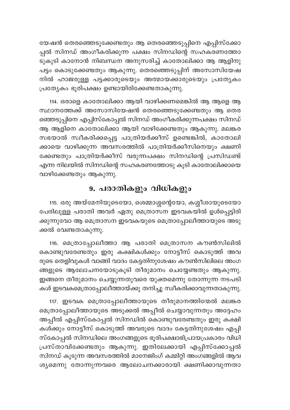യേഷൻ തെരഞ്ഞെടുക്കേണ്ടതും ആ തെരഞ്ഞെടുപ്പിനെ എപ്പിസ്ക്കോ പ്പൽ സിനഡ് അംഗീകരിക്കുന്ന പക്ഷം സിനഡിന്റെ സഹകരണത്തോ ടുകൂടി കാനോൻ നിബന്ധന അനുസരിച്ച് കാതോലിക്കാ ആ ആളിനു പട്ടം കൊടുക്കേണ്ടതും ആകുന്നു. തെരഞ്ഞെടുപ്പിന് അസോസിയേഷ നിൽ ഹാജരുള്ള പട്ടക്കാരുടെയും അത്മായക്കാരുടെയും പ്രത്യേകം പ്രത്യേകം ഭൂരിപക്ഷം ഉണ്ടായിരിക്കേണ്ടതാകുന്നു.

114. ഒരാളെ കാതോലിക്കാ ആയി വാഴിക്കണമെങ്കിൽ ആ ആളെ ആ സ്ഥാനത്തേക്ക് അസോസിയേഷൻ തെരഞ്ഞെടുക്കേണ്ടതും ആ തെര ഞ്ഞെടുപ്പിനെ എപ്പിസ്കോപ്പൽ സിനഡ് അംഗീകരിക്കുന്നപക്ഷം സിനഡ് ആ ആളിനെ കാതോലിക്കാ ആയി വാഴിക്കേണ്ടതും ആകുന്നു. മലങ്കര സഭയാൽ സ്വീകരിക്കപ്പെട്ട പാത്രിയർക്കീസ് ഉണ്ടെങ്കിൽ, കാതോലി ക്കായെ വാഴിക്കുന്ന അവസരത്തിൽ പാത്രിയർക്കീസിനെയും ക്ഷണി ക്കേണ്ടതും പാത്രിയർക്കീസ് വരുന്നപക്ഷം സിനഡിന്റെ പ്രസിഡണ്ട് എന്ന നിലയിൽ സിനഡിന്റെ സഹകരണത്തോടു കൂടി കാതോലിക്കായെ വാഴിക്കേണ്ടതും ആകുന്നു.

## 9. പരാതികളും വിധികളും

115. ഒരു അയ്മേനിയുടെയോ, ശെമ്മാശ്ശന്റെയോ, കശ്ശീശായുടെയോ പേരിലുള്ള പരാതി അവർ ഏതു മെത്രാസന ഇടവകയിൽ ഉൾപ്പെട്ടിരി ക്കുന്നുവോ ആ മെത്രാസന ഇടവകയുടെ മെത്രാപ്പോലീത്തായുടെ അടു ക്കൽ വേണ്ടതാകുന്നു.

116. മെത്രാപ്പോലീത്താ ആ പരാതി മെത്രാസന കൗൺസിലിൽ കൊണ്ടുവരേണ്ടതും ഇരു കക്ഷികൾക്കും നോട്ടീസ് കൊടുത്ത് അവ രുടെ തെളിവുകൾ വാങ്ങി വാദം കേട്ടതിനുശേഷം കൗൺസിലിലെ അംഗ ങ്ങളുടെ ആലോചനയോടുകൂടി തീരുമാനം ചെയ്യേണ്ടതും ആകുന്നു. ഇങ്ങനെ തീരുമാനം ചെയ്യുന്നതുവരെ യുക്തമെന്നു തോന്നുന്ന നടപടി കൾ ഇടവകമെത്രാപ്പോലീത്തായ്ക്കു തനിച്ചു സ്വീകരിക്കാവുന്നതാകുന്നു.

117. ഇടവക മെത്രാപ്പോലീത്തായുടെ തീരുമാനത്തിന്മേൽ മലങ്കര മെത്രാപ്പോലീത്തായുടെ അടുക്കൽ അപ്പീൽ ചെയ്യാവുന്നതും അദ്ദേഹം അപ്പീൽ എപ്പിസ്കോപ്പൽ സിനഡിൽ കൊണ്ടുവരേണ്ടതും ഇരു കക്ഷി കൾക്കും നോട്ടീസ് കൊടുത്ത് അവരുടെ വാദം കേട്ടതിനുശേഷം എപ്പി സ്കോപ്പൽ സിനഡിലെ അംഗങ്ങളുടെ ഭൂരിപക്ഷാഭിപ്രായപ്രകാരം വിധി പ്രസ്താവിക്കേണ്ടതും ആകുന്നു. ഇതിലേക്കായി എപ്പിസ്ക്കോപ്പൽ സിനഡ് കൂടുന്ന അവസരത്തിൽ മാനേജിംഗ് കമ്മിറ്റി അംഗങ്ങളിൽ ആവ ശ്യമെന്നു തോന്നുന്നവരെ ആലോചനക്കാരായി ക്ഷണിക്കാവുന്നതാ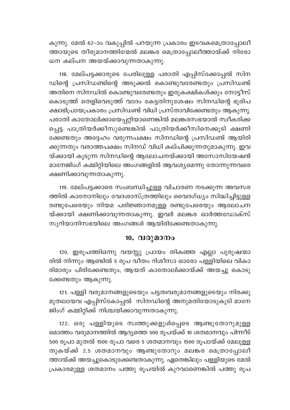കുന്നു. മേൽ 62-ാം വകുപ്പിൽ പറയുന്ന പ്രകാരം ഇടവകമെത്രാപ്പോലീ ത്തായുടെ തീരുമാനത്തിന്മേൽ മലങ്കര മെത്രാപ്പോലീത്തായ്ക്ക് നിരോ ധന കല്പന അയയ്ക്കാവുന്നതാകുന്നു.

118. മേല്പട്ടക്കാരുടെ പേരിലുള്ള പരാതി എപ്പിസ്ക്കോപ്പൽ സിന ഡിന്റെ പ്രസിഡണ്ടിന്റെ അടുക്കൽ കൊണ്ടുവരേണ്ടതും പ്രസിഡണ്ട് അതിനെ സിനഡിൽ കൊണ്ടുവരേണ്ടതും ഇരുകക്ഷികൾക്കും നോട്ടീസ് കൊടുത്ത് തെളിവെടുത്ത് വാദം കേട്ടതിനുശേഷം സിനഡിന്റെ ഭൂരിപ ക്ഷാഭിപ്രായപ്രകാരം പ്രസിഡണ്ട് വിധി പ്രസ്താവിക്കേണ്ടതും ആകുന്നു. പരാതി കാതോലിക്കായെപ്പറ്റിയാണെങ്കിൽ മലങ്കരസഭയാൽ സ്വീകരിക്ക പ്പെട്ട പാത്രിയർക്കീസുണ്ടെങ്കിൽ പാത്രിയർക്കീസിനെക്കൂടി ക്ഷണി ക്കേണ്ടതും അദ്ദേഹം വരുന്നപക്ഷം സിനഡിന്റെ പ്രസിഡണ്ട് ആയിരി ക്കുന്നതും വരാത്തപക്ഷം സിനഡ് വിധി കല്പിക്കുന്നതുമാകുന്നു. ഇവ യ്ക്കായി കൂടുന്ന സിനഡിന്റെ ആലോചനയ്ക്കായി അസോസിയേഷൻ മാനേജിംഗ് കമ്മിറ്റിയിലെ അംഗങ്ങളിൽ ആവശ്യമെന്നു തോന്നുന്നവരെ ക്ഷണിക്കാവുന്നതാകുന്നു.

119. മേല്പട്ടക്കാരെ സംബന്ധിച്ചുള്ള വിചാരണ നടക്കുന്ന അവസര ത്തിൽ കാനോനിലും വേദശാസ്ത്രത്തിലും വൈദഗ്ധ്യം സിദ്ധിച്ചിട്ടുള്ള രണ്ടുപേരെയും നിയമ പരിജ്ഞാനമുള്ള രണ്ടുപേരെയും ആലോചന യ്ക്കായി ക്ഷണിക്കാവുന്നതാകുന്നു. ഇവർ മലങ്കര ഓർത്തഡോക്സ് സുറിയാനിസഭയിലെ അംഗങ്ങൾ ആയിരിക്കേണ്ടതാകുന്നു.

## 10. വരുമാനം

120. ഇരുപത്തിഒന്നു വയസ്സു പ്രായം തികഞ്ഞ എല്ലാ പുരുഷന്മാ രിൽ നിന്നും ആണ്ടിൽ 5 രൂപ വീതം റിശീസാ ഓരോ പള്ളിയിലെ വികാ രിമാരും പിരിക്കേണ്ടതും, ആയത് കാതോലിക്കായ്ക്ക് അയച്ചു കൊടു ക്കേണ്ടതും ആകുന്നു.

121. പള്ളി വരുമാനങ്ങളുടെയും പട്ടത്വവരുമാനങ്ങളുടെയും നിരക്കു മുതലായവ എപ്പിസ്കോപ്പൽ സിനഡിന്റെ അനുമതിയോടുകൂടി മാനേ ജിംഗ് കമ്മിറ്റിക്ക് നിശ്ചയിക്കാവുന്നതാകുന്നു.

122. ഒരു പള്ളിയുടെ സ്വത്തുക്കളുൾപ്പെടെ ആണ്ടുതോറുമുള്ള മൊത്തം വരുമാനത്തിൽ ആദ്യത്തെ 500 രൂപയ്ക്ക് 10 ശതമാനവും പിന്നീട് 500 രൂപാ മുതൽ 1500 രൂപാ വരെ 5 ശതമാനവും 1500 രൂപായ്ക്ക് മേലുള്ള തുകയ്ക്ക് 2.5 ശതമാനവും ആണ്ടുതോറും മലങ്കര മെത്രാപ്പോലീ ത്തായ്ക്ക് അയച്ചുകൊടുക്കേണ്ടതാകുന്നു. ഏതെങ്കിലും പള്ളിയുടെ മേൽ പ്രകാരമുള്ള ശതമാനം പത്തു രൂപയിൽ കുറവാണെങ്കിൽ പത്തു രൂപ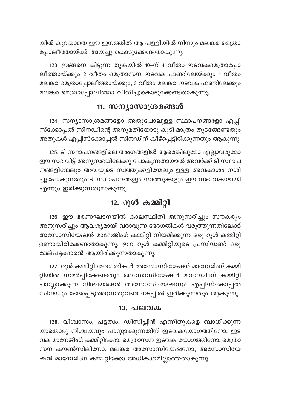യിൽ കുറയാതെ ഈ ഇനത്തിൽ ആ പള്ളിയിൽ നിന്നും മലങ്കര മെത്രാ പ്പോലീത്തായ്ക്ക് അയച്ചു കൊടുക്കേണ്ടതാകുന്നു.

123. ഇങ്ങനെ കിട്ടുന്ന തുകയിൽ 10-ന് 4 വീതം ഇടവകമെത്രാപ്പോ ലീത്തായ്ക്കും 2 വീതം മെത്രാസന ഇടവക ഫണ്ടിലേയ്ക്കും 1 വീതം മലങ്കര മെത്രാപ്പോലീത്തായ്ക്കും, 3 വീതം മലങ്കര ഇടവക ഫണ്ടിലേക്കും മലങ്കര മെത്രാപ്പോലീത്താ വീതിച്ചുകൊടുക്കേണ്ടതാകുന്നു.

## 11. സന്യാസാശ്രമങ്ങൾ

124. സന്യാസാശ്രമങ്ങളോ അതുപോലുള്ള സ്ഥാപനങ്ങളോ എപ്പി സ്ക്കോപ്പൽ സിനഡിന്റെ അനുമതിയോടു കൂടി മാത്രം തുടങ്ങേണ്ടതും അതുകൾ എപ്പിസ്ക്കോപ്പൽ സിനഡിന് കീഴ്പ്പെട്ടിരിക്കുന്നതും ആകുന്നു.

125. ടി സ്ഥാപനങ്ങളിലെ അംഗങ്ങളിൽ ആരെങ്കിലുമോ എല്ലാവരുമോ ഈ സഭ വിട്ട് അന്യസഭയിലേക്കു പോകുന്നതായാൽ അവർക്ക് ടി സ്ഥാപ നങ്ങളിന്മേലും അവയുടെ സ്വത്തുക്കളിന്മേലും ഉള്ള അവകാശം നശി ച്ചുപോകുന്നതും ടി സ്ഥാപനങ്ങളും സ്വത്തുക്കളും ഈ സഭ വകയായി എന്നും ഇരിക്കുന്നതുമാകുന്നു.

## 12. റൂൾ കമ്മിറ്റി

126. ഈ ഭരണഘടനയിൽ കാലസ്ഥിതി അനുസരിച്ചും സൗകര്യം അനുസരിച്ചും ആവശ്യമായി വരാവുന്ന ഭേദഗതികൾ വരുത്തുന്നതിലേക്ക് അസോസിയേഷൻ മാനേജിംഗ് കമ്മിറ്റി നിയമിക്കുന്ന ഒരു റൂൾ കമ്മിറ്റി ഉണ്ടായിരിക്കേണ്ടതാകുന്നു. ഈ റൂൾ കമ്മിറ്റിയുടെ പ്രസിഡണ്ട് ഒരു മേല്പട്ടക്കാരൻ ആയിരിക്കുന്നതാകുന്നു.

127. റൂൾ കമ്മിറ്റി ഭേദഗതികൾ അസോസിയേഷൻ മാനേജിംഗ് കമ്മി റ്റിയിൽ സമർപ്പിക്കേണ്ടതും അസോസിയേഷൻ മാനേജിംഗ് കമ്മിറ്റി പാസ്സാക്കുന്ന നിശ്ചയങ്ങൾ അസോസിയേഷനും എപ്പിസ്കോപ്പൽ സിനഡും ഭേദപ്പെടുത്തുന്നതുവരെ നടപ്പിൽ ഇരിക്കുന്നതും ആകുന്നു.

#### <u>13.</u> പലവക

128. വിശ്വാസം, പട്ടത്വം, ഡിസിപ്ലിൻ എന്നിതുകളെ ബാധിക്കുന്ന യാതൊരു നിശ്ചയവും പാസ്സാക്കുന്നതിന് ഇടവകയോഗത്തിനോ, ഇട വക മാനേജിംഗ് കമ്മിറ്റിക്കോ, മെത്രാസന ഇടവക യോഗത്തിനോ, മെത്രാ സന കൗൺസിലിനോ, മലങ്കര അസോസിയേഷനോ, അസോസിയേ ഷൻ മാനേജിംഗ് കമ്മിറ്റിക്കോ അധികാരമില്ലാത്തതാകുന്നു.